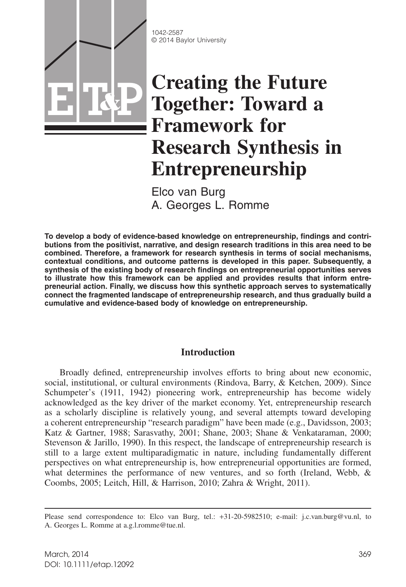1042-2587 © 2014 Baylor University

# **Creating the Future Together: Toward a Framework for Research Synthesis in Entrepreneurship**

Elco van Burg A. Georges L. Romme

**To develop a body of evidence-based knowledge on entrepreneurship, findings and contributions from the positivist, narrative, and design research traditions in this area need to be combined. Therefore, a framework for research synthesis in terms of social mechanisms, contextual conditions, and outcome patterns is developed in this paper. Subsequently, a synthesis of the existing body of research findings on entrepreneurial opportunities serves to illustrate how this framework can be applied and provides results that inform entrepreneurial action. Finally, we discuss how this synthetic approach serves to systematically connect the fragmented landscape of entrepreneurship research, and thus gradually build a cumulative and evidence-based body of knowledge on entrepreneurship.**

### **Introduction**

Broadly defined, entrepreneurship involves efforts to bring about new economic, social, institutional, or cultural environments (Rindova, Barry, & Ketchen, 2009). Since Schumpeter's (1911, 1942) pioneering work, entrepreneurship has become widely acknowledged as the key driver of the market economy. Yet, entrepreneurship research as a scholarly discipline is relatively young, and several attempts toward developing a coherent entrepreneurship "research paradigm" have been made (e.g., Davidsson, 2003; Katz & Gartner, 1988; Sarasvathy, 2001; Shane, 2003; Shane & Venkataraman, 2000; Stevenson & Jarillo, 1990). In this respect, the landscape of entrepreneurship research is still to a large extent multiparadigmatic in nature, including fundamentally different perspectives on what entrepreneurship is, how entrepreneurial opportunities are formed, what determines the performance of new ventures, and so forth (Ireland, Webb, & Coombs, 2005; Leitch, Hill, & Harrison, 2010; Zahra & Wright, 2011).

**E T&P**

Please send correspondence to: Elco van Burg, tel.: +31-20-5982510; e-mail: j.c.van.burg@vu.nl, to A. Georges L. Romme at a.g.l.romme@tue.nl.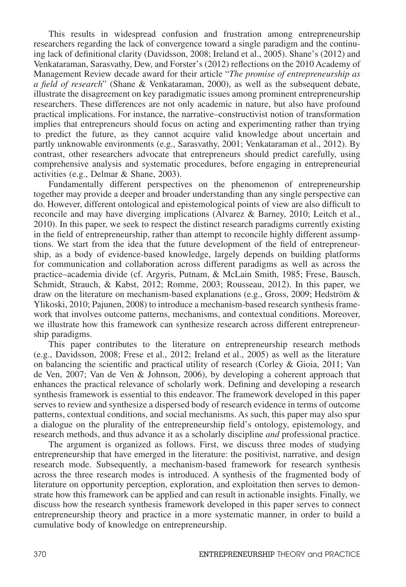This results in widespread confusion and frustration among entrepreneurship researchers regarding the lack of convergence toward a single paradigm and the continuing lack of definitional clarity (Davidsson, 2008; Ireland et al., 2005). Shane's (2012) and Venkataraman, Sarasvathy, Dew, and Forster's (2012) reflections on the 2010 Academy of Management Review decade award for their article "*The promise of entrepreneurship as a field of research*" (Shane & Venkataraman, 2000), as well as the subsequent debate, illustrate the disagreement on key paradigmatic issues among prominent entrepreneurship researchers. These differences are not only academic in nature, but also have profound practical implications. For instance, the narrative–constructivist notion of transformation implies that entrepreneurs should focus on acting and experimenting rather than trying to predict the future, as they cannot acquire valid knowledge about uncertain and partly unknowable environments (e.g., Sarasvathy, 2001; Venkataraman et al., 2012). By contrast, other researchers advocate that entrepreneurs should predict carefully, using comprehensive analysis and systematic procedures, before engaging in entrepreneurial activities (e.g., Delmar & Shane, 2003).

Fundamentally different perspectives on the phenomenon of entrepreneurship together may provide a deeper and broader understanding than any single perspective can do. However, different ontological and epistemological points of view are also difficult to reconcile and may have diverging implications (Alvarez & Barney, 2010; Leitch et al., 2010). In this paper, we seek to respect the distinct research paradigms currently existing in the field of entrepreneurship, rather than attempt to reconcile highly different assumptions. We start from the idea that the future development of the field of entrepreneurship, as a body of evidence-based knowledge, largely depends on building platforms for communication and collaboration across different paradigms as well as across the practice–academia divide (cf. Argyris, Putnam, & McLain Smith, 1985; Frese, Bausch, Schmidt, Strauch, & Kabst, 2012; Romme, 2003; Rousseau, 2012). In this paper, we draw on the literature on mechanism-based explanations (e.g., Gross, 2009; Hedström & Ylikoski, 2010; Pajunen, 2008) to introduce a mechanism-based research synthesis framework that involves outcome patterns, mechanisms, and contextual conditions. Moreover, we illustrate how this framework can synthesize research across different entrepreneurship paradigms.

This paper contributes to the literature on entrepreneurship research methods (e.g., Davidsson, 2008; Frese et al., 2012; Ireland et al., 2005) as well as the literature on balancing the scientific and practical utility of research (Corley & Gioia, 2011; Van de Ven, 2007; Van de Ven & Johnson, 2006), by developing a coherent approach that enhances the practical relevance of scholarly work. Defining and developing a research synthesis framework is essential to this endeavor. The framework developed in this paper serves to review and synthesize a dispersed body of research evidence in terms of outcome patterns, contextual conditions, and social mechanisms. As such, this paper may also spur a dialogue on the plurality of the entrepreneurship field's ontology, epistemology, and research methods, and thus advance it as a scholarly discipline *and* professional practice.

The argument is organized as follows. First, we discuss three modes of studying entrepreneurship that have emerged in the literature: the positivist, narrative, and design research mode. Subsequently, a mechanism-based framework for research synthesis across the three research modes is introduced. A synthesis of the fragmented body of literature on opportunity perception, exploration, and exploitation then serves to demonstrate how this framework can be applied and can result in actionable insights. Finally, we discuss how the research synthesis framework developed in this paper serves to connect entrepreneurship theory and practice in a more systematic manner, in order to build a cumulative body of knowledge on entrepreneurship.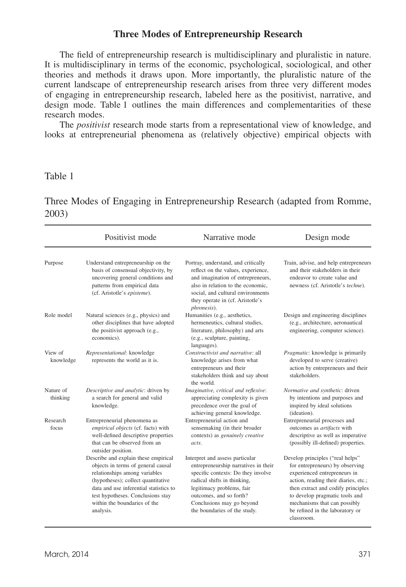#### **Three Modes of Entrepreneurship Research**

The field of entrepreneurship research is multidisciplinary and pluralistic in nature. It is multidisciplinary in terms of the economic, psychological, sociological, and other theories and methods it draws upon. More importantly, the pluralistic nature of the current landscape of entrepreneurship research arises from three very different modes of engaging in entrepreneurship research, labeled here as the positivist, narrative, and design mode. Table 1 outlines the main differences and complementarities of these research modes.

The *positivist* research mode starts from a representational view of knowledge, and looks at entrepreneurial phenomena as (relatively objective) empirical objects with

## Table 1

Three Modes of Engaging in Entrepreneurship Research (adapted from Romme, 2003)

|                       | Positivist mode                                                                                                                                                                                                                                                               | Narrative mode                                                                                                                                                                                                                                                    | Design mode                                                                                                                                                                                                                                                                                          |
|-----------------------|-------------------------------------------------------------------------------------------------------------------------------------------------------------------------------------------------------------------------------------------------------------------------------|-------------------------------------------------------------------------------------------------------------------------------------------------------------------------------------------------------------------------------------------------------------------|------------------------------------------------------------------------------------------------------------------------------------------------------------------------------------------------------------------------------------------------------------------------------------------------------|
| Purpose               | Understand entrepreneurship on the<br>basis of consensual objectivity, by<br>uncovering general conditions and<br>patterns from empirical data<br>(cf. Aristotle's episteme).                                                                                                 | Portray, understand, and critically<br>reflect on the values, experience,<br>and imagination of entrepreneurs,<br>also in relation to the economic,<br>social, and cultural environments<br>they operate in (cf. Aristotle's<br>phronesis).                       | Train, advise, and help entrepreneurs<br>and their stakeholders in their<br>endeavor to create value and<br>newness (cf. Aristotle's techne).                                                                                                                                                        |
| Role model            | Natural sciences (e.g., physics) and<br>other disciplines that have adopted<br>the positivist approach (e.g.,<br>economics).                                                                                                                                                  | Humanities (e.g., aesthetics,<br>hermeneutics, cultural studies,<br>literature, philosophy) and arts<br>(e.g., sculpture, painting,<br>languages).                                                                                                                | Design and engineering disciplines<br>(e.g., architecture, aeronautical<br>engineering, computer science).                                                                                                                                                                                           |
| View of<br>knowledge  | Representational: knowledge<br>represents the world as it is.                                                                                                                                                                                                                 | Constructivist and narrative: all<br>knowledge arises from what<br>entrepreneurs and their<br>stakeholders think and say about<br>the world.                                                                                                                      | Pragmatic: knowledge is primarily<br>developed to serve (creative)<br>action by entrepreneurs and their<br>stakeholders.                                                                                                                                                                             |
| Nature of<br>thinking | Descriptive and analytic: driven by<br>a search for general and valid<br>knowledge.                                                                                                                                                                                           | Imaginative, critical and reflexive:<br>appreciating complexity is given<br>precedence over the goal of<br>achieving general knowledge.                                                                                                                           | Normative and synthetic: driven<br>by intentions and purposes and<br>inspired by ideal solutions<br>(ideation).                                                                                                                                                                                      |
| Research<br>focus     | Entrepreneurial phenomena as<br>empirical objects (cf. facts) with<br>well-defined descriptive properties<br>that can be observed from an<br>outsider position.                                                                                                               | Entrepreneurial action and<br>sensemaking (in their broader<br>contexts) as genuinely creative<br>acts.                                                                                                                                                           | Entrepreneurial processes and<br>outcomes as artifacts with<br>descriptive as well as imperative<br>(possibly ill-defined) properties.                                                                                                                                                               |
|                       | Describe and explain these empirical<br>objects in terms of general causal<br>relationships among variables<br>(hypotheses); collect quantitative<br>data and use inferential statistics to<br>test hypotheses. Conclusions stay<br>within the boundaries of the<br>analysis. | Interpret and assess particular<br>entrepreneurship narratives in their<br>specific contexts: Do they involve<br>radical shifts in thinking,<br>legitimacy problems, fair<br>outcomes, and so forth?<br>Conclusions may go beyond<br>the boundaries of the study. | Develop principles ("real helps"<br>for entrepreneurs) by observing<br>experienced entrepreneurs in<br>action, reading their diaries, etc.;<br>then extract and codify principles<br>to develop pragmatic tools and<br>mechanisms that can possibly<br>be refined in the laboratory or<br>classroom. |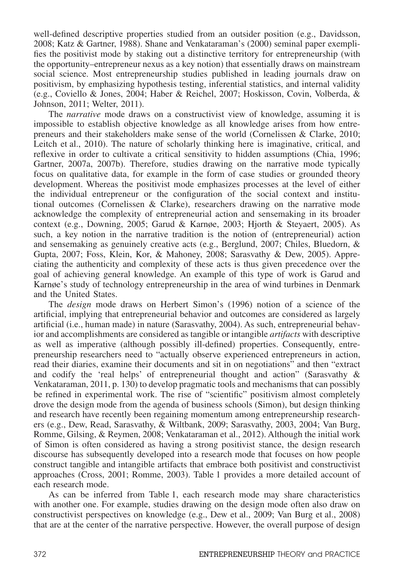well-defined descriptive properties studied from an outsider position (e.g., Davidsson, 2008; Katz & Gartner, 1988). Shane and Venkataraman's (2000) seminal paper exemplifies the positivist mode by staking out a distinctive territory for entrepreneurship (with the opportunity–entrepreneur nexus as a key notion) that essentially draws on mainstream social science. Most entrepreneurship studies published in leading journals draw on positivism, by emphasizing hypothesis testing, inferential statistics, and internal validity (e.g., Coviello & Jones, 2004; Haber & Reichel, 2007; Hoskisson, Covin, Volberda, & Johnson, 2011; Welter, 2011).

The *narrative* mode draws on a constructivist view of knowledge, assuming it is impossible to establish objective knowledge as all knowledge arises from how entrepreneurs and their stakeholders make sense of the world (Cornelissen & Clarke, 2010; Leitch et al., 2010). The nature of scholarly thinking here is imaginative, critical, and reflexive in order to cultivate a critical sensitivity to hidden assumptions (Chia, 1996; Gartner, 2007a, 2007b). Therefore, studies drawing on the narrative mode typically focus on qualitative data, for example in the form of case studies or grounded theory development. Whereas the positivist mode emphasizes processes at the level of either the individual entrepreneur or the configuration of the social context and institutional outcomes (Cornelissen & Clarke), researchers drawing on the narrative mode acknowledge the complexity of entrepreneurial action and sensemaking in its broader context (e.g., Downing, 2005; Garud & Karnøe, 2003; Hjorth & Steyaert, 2005). As such, a key notion in the narrative tradition is the notion of (entrepreneurial) action and sensemaking as genuinely creative acts (e.g., Berglund, 2007; Chiles, Bluedorn, & Gupta, 2007; Foss, Klein, Kor, & Mahoney, 2008; Sarasvathy & Dew, 2005). Appreciating the authenticity and complexity of these acts is thus given precedence over the goal of achieving general knowledge. An example of this type of work is Garud and Karnøe's study of technology entrepreneurship in the area of wind turbines in Denmark and the United States.

The *design* mode draws on Herbert Simon's (1996) notion of a science of the artificial, implying that entrepreneurial behavior and outcomes are considered as largely artificial (i.e., human made) in nature (Sarasvathy, 2004). As such, entrepreneurial behavior and accomplishments are considered as tangible or intangible *artifacts* with descriptive as well as imperative (although possibly ill-defined) properties. Consequently, entrepreneurship researchers need to "actually observe experienced entrepreneurs in action, read their diaries, examine their documents and sit in on negotiations" and then "extract and codify the 'real helps' of entrepreneurial thought and action" (Sarasvathy  $\&$ Venkataraman, 2011, p. 130) to develop pragmatic tools and mechanisms that can possibly be refined in experimental work. The rise of "scientific" positivism almost completely drove the design mode from the agenda of business schools (Simon), but design thinking and research have recently been regaining momentum among entrepreneurship researchers (e.g., Dew, Read, Sarasvathy, & Wiltbank, 2009; Sarasvathy, 2003, 2004; Van Burg, Romme, Gilsing, & Reymen, 2008; Venkataraman et al., 2012). Although the initial work of Simon is often considered as having a strong positivist stance, the design research discourse has subsequently developed into a research mode that focuses on how people construct tangible and intangible artifacts that embrace both positivist and constructivist approaches (Cross, 2001; Romme, 2003). Table 1 provides a more detailed account of each research mode.

As can be inferred from Table 1, each research mode may share characteristics with another one. For example, studies drawing on the design mode often also draw on constructivist perspectives on knowledge (e.g., Dew et al., 2009; Van Burg et al., 2008) that are at the center of the narrative perspective. However, the overall purpose of design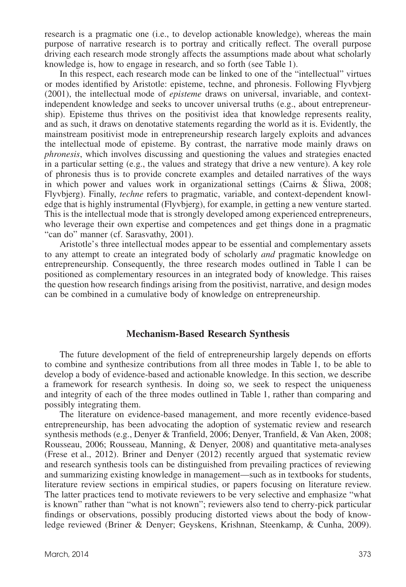research is a pragmatic one (i.e., to develop actionable knowledge), whereas the main purpose of narrative research is to portray and critically reflect. The overall purpose driving each research mode strongly affects the assumptions made about what scholarly knowledge is, how to engage in research, and so forth (see Table 1).

In this respect, each research mode can be linked to one of the "intellectual" virtues or modes identified by Aristotle: episteme, techne, and phronesis. Following Flyvbjerg (2001), the intellectual mode of *episteme* draws on universal, invariable, and contextindependent knowledge and seeks to uncover universal truths (e.g., about entrepreneurship). Episteme thus thrives on the positivist idea that knowledge represents reality, and as such, it draws on denotative statements regarding the world as it is. Evidently, the mainstream positivist mode in entrepreneurship research largely exploits and advances the intellectual mode of episteme. By contrast, the narrative mode mainly draws on *phronesis*, which involves discussing and questioning the values and strategies enacted in a particular setting (e.g., the values and strategy that drive a new venture). A key role of phronesis thus is to provide concrete examples and detailed narratives of the ways in which power and values work in organizational settings (Cairns  $\&$  S<sup>iliwa</sup>, 2008; Flyvbjerg). Finally, *techne* refers to pragmatic, variable, and context-dependent knowledge that is highly instrumental (Flyvbjerg), for example, in getting a new venture started. This is the intellectual mode that is strongly developed among experienced entrepreneurs, who leverage their own expertise and competences and get things done in a pragmatic "can do" manner (cf. Sarasvathy, 2001).

Aristotle's three intellectual modes appear to be essential and complementary assets to any attempt to create an integrated body of scholarly *and* pragmatic knowledge on entrepreneurship. Consequently, the three research modes outlined in Table 1 can be positioned as complementary resources in an integrated body of knowledge. This raises the question how research findings arising from the positivist, narrative, and design modes can be combined in a cumulative body of knowledge on entrepreneurship.

## **Mechanism-Based Research Synthesis**

The future development of the field of entrepreneurship largely depends on efforts to combine and synthesize contributions from all three modes in Table 1, to be able to develop a body of evidence-based and actionable knowledge. In this section, we describe a framework for research synthesis. In doing so, we seek to respect the uniqueness and integrity of each of the three modes outlined in Table 1, rather than comparing and possibly integrating them.

The literature on evidence-based management, and more recently evidence-based entrepreneurship, has been advocating the adoption of systematic review and research synthesis methods (e.g., Denyer & Tranfield, 2006; Denyer, Tranfield, & Van Aken, 2008; Rousseau, 2006; Rousseau, Manning, & Denyer, 2008) and quantitative meta-analyses (Frese et al., 2012). Briner and Denyer (2012) recently argued that systematic review and research synthesis tools can be distinguished from prevailing practices of reviewing and summarizing existing knowledge in management—such as in textbooks for students, literature review sections in empirical studies, or papers focusing on literature review. The latter practices tend to motivate reviewers to be very selective and emphasize "what is known" rather than "what is not known"; reviewers also tend to cherry-pick particular findings or observations, possibly producing distorted views about the body of knowledge reviewed (Briner & Denyer; Geyskens, Krishnan, Steenkamp, & Cunha, 2009).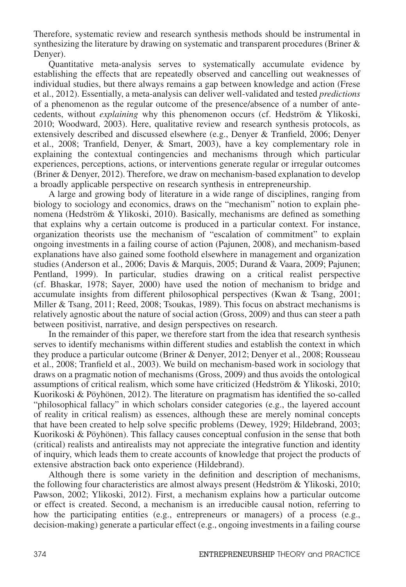Therefore, systematic review and research synthesis methods should be instrumental in synthesizing the literature by drawing on systematic and transparent procedures (Briner & Denyer).

Quantitative meta-analysis serves to systematically accumulate evidence by establishing the effects that are repeatedly observed and cancelling out weaknesses of individual studies, but there always remains a gap between knowledge and action (Frese et al., 2012). Essentially, a meta-analysis can deliver well-validated and tested *predictions* of a phenomenon as the regular outcome of the presence/absence of a number of antecedents, without *explaining* why this phenomenon occurs (cf. Hedström & Ylikoski, 2010; Woodward, 2003). Here, qualitative review and research synthesis protocols, as extensively described and discussed elsewhere (e.g., Denyer & Tranfield, 2006; Denyer et al., 2008; Tranfield, Denyer, & Smart, 2003), have a key complementary role in explaining the contextual contingencies and mechanisms through which particular experiences, perceptions, actions, or interventions generate regular or irregular outcomes (Briner & Denyer, 2012). Therefore, we draw on mechanism-based explanation to develop a broadly applicable perspective on research synthesis in entrepreneurship.

A large and growing body of literature in a wide range of disciplines, ranging from biology to sociology and economics, draws on the "mechanism" notion to explain phenomena (Hedström & Ylikoski, 2010). Basically, mechanisms are defined as something that explains why a certain outcome is produced in a particular context. For instance, organization theorists use the mechanism of "escalation of commitment" to explain ongoing investments in a failing course of action (Pajunen, 2008), and mechanism-based explanations have also gained some foothold elsewhere in management and organization studies (Anderson et al., 2006; Davis & Marquis, 2005; Durand & Vaara, 2009; Pajunen; Pentland, 1999). In particular, studies drawing on a critical realist perspective (cf. Bhaskar, 1978; Sayer, 2000) have used the notion of mechanism to bridge and accumulate insights from different philosophical perspectives (Kwan & Tsang, 2001; Miller & Tsang, 2011; Reed, 2008; Tsoukas, 1989). This focus on abstract mechanisms is relatively agnostic about the nature of social action (Gross, 2009) and thus can steer a path between positivist, narrative, and design perspectives on research.

In the remainder of this paper, we therefore start from the idea that research synthesis serves to identify mechanisms within different studies and establish the context in which they produce a particular outcome (Briner & Denyer, 2012; Denyer et al., 2008; Rousseau et al., 2008; Tranfield et al., 2003). We build on mechanism-based work in sociology that draws on a pragmatic notion of mechanisms (Gross, 2009) and thus avoids the ontological assumptions of critical realism, which some have criticized (Hedström & Ylikoski, 2010; Kuorikoski & Pöyhönen, 2012). The literature on pragmatism has identified the so-called "philosophical fallacy" in which scholars consider categories (e.g., the layered account of reality in critical realism) as essences, although these are merely nominal concepts that have been created to help solve specific problems (Dewey, 1929; Hildebrand, 2003; Kuorikoski & Pöyhönen). This fallacy causes conceptual confusion in the sense that both (critical) realists and antirealists may not appreciate the integrative function and identity of inquiry, which leads them to create accounts of knowledge that project the products of extensive abstraction back onto experience (Hildebrand).

Although there is some variety in the definition and description of mechanisms, the following four characteristics are almost always present (Hedström & Ylikoski, 2010; Pawson, 2002; Ylikoski, 2012). First, a mechanism explains how a particular outcome or effect is created. Second, a mechanism is an irreducible causal notion, referring to how the participating entities (e.g., entrepreneurs or managers) of a process (e.g., decision-making) generate a particular effect (e.g., ongoing investments in a failing course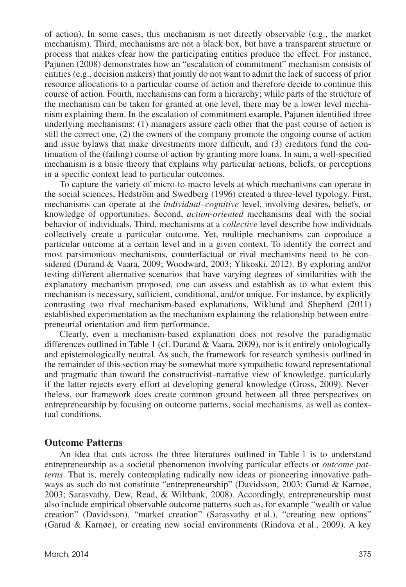of action). In some cases, this mechanism is not directly observable (e.g., the market mechanism). Third, mechanisms are not a black box, but have a transparent structure or process that makes clear how the participating entities produce the effect. For instance, Pajunen (2008) demonstrates how an "escalation of commitment" mechanism consists of entities (e.g., decision makers) that jointly do not want to admit the lack of success of prior resource allocations to a particular course of action and therefore decide to continue this course of action. Fourth, mechanisms can form a hierarchy; while parts of the structure of the mechanism can be taken for granted at one level, there may be a lower level mechanism explaining them. In the escalation of commitment example, Pajunen identified three underlying mechanisms: (1) managers assure each other that the past course of action is still the correct one, (2) the owners of the company promote the ongoing course of action and issue bylaws that make divestments more difficult, and (3) creditors fund the continuation of the (failing) course of action by granting more loans. In sum, a well-specified mechanism is a basic theory that explains why particular actions, beliefs, or perceptions in a specific context lead to particular outcomes.

To capture the variety of micro-to-macro levels at which mechanisms can operate in the social sciences, Hedström and Swedberg (1996) created a three-level typology. First, mechanisms can operate at the *individual–cognitive* level, involving desires, beliefs, or knowledge of opportunities. Second, *action-oriented* mechanisms deal with the social behavior of individuals. Third, mechanisms at a *collective* level describe how individuals collectively create a particular outcome. Yet, multiple mechanisms can coproduce a particular outcome at a certain level and in a given context. To identify the correct and most parsimonious mechanisms, counterfactual or rival mechanisms need to be considered (Durand & Vaara, 2009; Woodward, 2003; Ylikoski, 2012). By exploring and/or testing different alternative scenarios that have varying degrees of similarities with the explanatory mechanism proposed, one can assess and establish as to what extent this mechanism is necessary, sufficient, conditional, and/or unique. For instance, by explicitly contrasting two rival mechanism-based explanations, Wiklund and Shepherd (2011) established experimentation as the mechanism explaining the relationship between entrepreneurial orientation and firm performance.

Clearly, even a mechanism-based explanation does not resolve the paradigmatic differences outlined in Table 1 (cf. Durand  $& Vaara, 2009$ ), nor is it entirely ontologically and epistemologically neutral. As such, the framework for research synthesis outlined in the remainder of this section may be somewhat more sympathetic toward representational and pragmatic than toward the constructivist–narrative view of knowledge, particularly if the latter rejects every effort at developing general knowledge (Gross, 2009). Nevertheless, our framework does create common ground between all three perspectives on entrepreneurship by focusing on outcome patterns, social mechanisms, as well as contextual conditions.

#### **Outcome Patterns**

An idea that cuts across the three literatures outlined in Table 1 is to understand entrepreneurship as a societal phenomenon involving particular effects or *outcome patterns*. That is, merely contemplating radically new ideas or pioneering innovative pathways as such do not constitute "entrepreneurship" (Davidsson, 2003; Garud & Karnøe, 2003; Sarasvathy, Dew, Read, & Wiltbank, 2008). Accordingly, entrepreneurship must also include empirical observable outcome patterns such as, for example "wealth or value creation" (Davidsson), "market creation" (Sarasvathy et al.), "creating new options" (Garud & Karnøe), or creating new social environments (Rindova et al., 2009). A key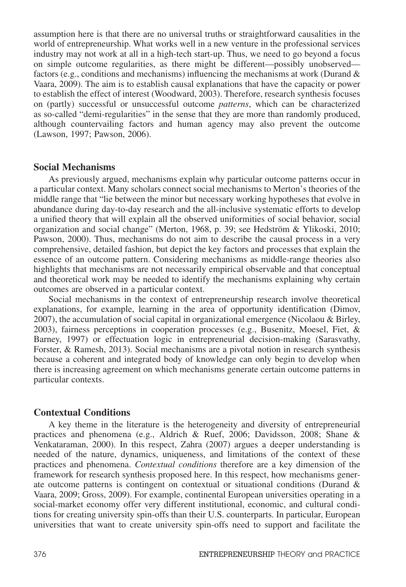assumption here is that there are no universal truths or straightforward causalities in the world of entrepreneurship. What works well in a new venture in the professional services industry may not work at all in a high-tech start-up. Thus, we need to go beyond a focus on simple outcome regularities, as there might be different—possibly unobserved factors (e.g., conditions and mechanisms) influencing the mechanisms at work (Durand  $\&$ Vaara, 2009). The aim is to establish causal explanations that have the capacity or power to establish the effect of interest (Woodward, 2003). Therefore, research synthesis focuses on (partly) successful or unsuccessful outcome *patterns*, which can be characterized as so-called "demi-regularities" in the sense that they are more than randomly produced, although countervailing factors and human agency may also prevent the outcome (Lawson, 1997; Pawson, 2006).

#### **Social Mechanisms**

As previously argued, mechanisms explain why particular outcome patterns occur in a particular context. Many scholars connect social mechanisms to Merton's theories of the middle range that "lie between the minor but necessary working hypotheses that evolve in abundance during day-to-day research and the all-inclusive systematic efforts to develop a unified theory that will explain all the observed uniformities of social behavior, social organization and social change" (Merton, 1968, p. 39; see Hedström & Ylikoski, 2010; Pawson, 2000). Thus, mechanisms do not aim to describe the causal process in a very comprehensive, detailed fashion, but depict the key factors and processes that explain the essence of an outcome pattern. Considering mechanisms as middle-range theories also highlights that mechanisms are not necessarily empirical observable and that conceptual and theoretical work may be needed to identify the mechanisms explaining why certain outcomes are observed in a particular context.

Social mechanisms in the context of entrepreneurship research involve theoretical explanations, for example, learning in the area of opportunity identification (Dimov, 2007), the accumulation of social capital in organizational emergence (Nicolaou & Birley, 2003), fairness perceptions in cooperation processes (e.g., Busenitz, Moesel, Fiet, & Barney, 1997) or effectuation logic in entrepreneurial decision-making (Sarasvathy, Forster, & Ramesh, 2013). Social mechanisms are a pivotal notion in research synthesis because a coherent and integrated body of knowledge can only begin to develop when there is increasing agreement on which mechanisms generate certain outcome patterns in particular contexts.

### **Contextual Conditions**

A key theme in the literature is the heterogeneity and diversity of entrepreneurial practices and phenomena (e.g., Aldrich & Ruef, 2006; Davidsson, 2008; Shane & Venkataraman, 2000). In this respect, Zahra (2007) argues a deeper understanding is needed of the nature, dynamics, uniqueness, and limitations of the context of these practices and phenomena. *Contextual conditions* therefore are a key dimension of the framework for research synthesis proposed here. In this respect, how mechanisms generate outcome patterns is contingent on contextual or situational conditions (Durand & Vaara, 2009; Gross, 2009). For example, continental European universities operating in a social-market economy offer very different institutional, economic, and cultural conditions for creating university spin-offs than their U.S. counterparts. In particular, European universities that want to create university spin-offs need to support and facilitate the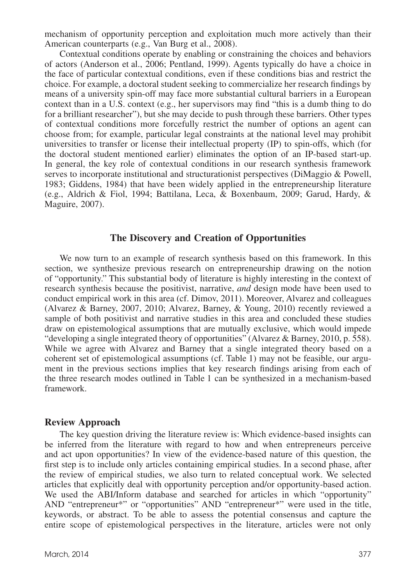mechanism of opportunity perception and exploitation much more actively than their American counterparts (e.g., Van Burg et al., 2008).

Contextual conditions operate by enabling or constraining the choices and behaviors of actors (Anderson et al., 2006; Pentland, 1999). Agents typically do have a choice in the face of particular contextual conditions, even if these conditions bias and restrict the choice. For example, a doctoral student seeking to commercialize her research findings by means of a university spin-off may face more substantial cultural barriers in a European context than in a U.S. context (e.g., her supervisors may find "this is a dumb thing to do for a brilliant researcher"), but she may decide to push through these barriers. Other types of contextual conditions more forcefully restrict the number of options an agent can choose from; for example, particular legal constraints at the national level may prohibit universities to transfer or license their intellectual property (IP) to spin-offs, which (for the doctoral student mentioned earlier) eliminates the option of an IP-based start-up. In general, the key role of contextual conditions in our research synthesis framework serves to incorporate institutional and structurationist perspectives (DiMaggio & Powell, 1983; Giddens, 1984) that have been widely applied in the entrepreneurship literature (e.g., Aldrich & Fiol, 1994; Battilana, Leca, & Boxenbaum, 2009; Garud, Hardy, & Maguire, 2007).

#### **The Discovery and Creation of Opportunities**

We now turn to an example of research synthesis based on this framework. In this section, we synthesize previous research on entrepreneurship drawing on the notion of "opportunity." This substantial body of literature is highly interesting in the context of research synthesis because the positivist, narrative, *and* design mode have been used to conduct empirical work in this area (cf. Dimov, 2011). Moreover, Alvarez and colleagues (Alvarez & Barney, 2007, 2010; Alvarez, Barney, & Young, 2010) recently reviewed a sample of both positivist and narrative studies in this area and concluded these studies draw on epistemological assumptions that are mutually exclusive, which would impede "developing a single integrated theory of opportunities" (Alvarez & Barney, 2010, p. 558). While we agree with Alvarez and Barney that a single integrated theory based on a coherent set of epistemological assumptions (cf. Table 1) may not be feasible, our argument in the previous sections implies that key research findings arising from each of the three research modes outlined in Table 1 can be synthesized in a mechanism-based framework.

#### **Review Approach**

The key question driving the literature review is: Which evidence-based insights can be inferred from the literature with regard to how and when entrepreneurs perceive and act upon opportunities? In view of the evidence-based nature of this question, the first step is to include only articles containing empirical studies. In a second phase, after the review of empirical studies, we also turn to related conceptual work. We selected articles that explicitly deal with opportunity perception and/or opportunity-based action. We used the ABI/Inform database and searched for articles in which "opportunity" AND "entrepreneur\*" or "opportunities" AND "entrepreneur\*" were used in the title, keywords, or abstract. To be able to assess the potential consensus and capture the entire scope of epistemological perspectives in the literature, articles were not only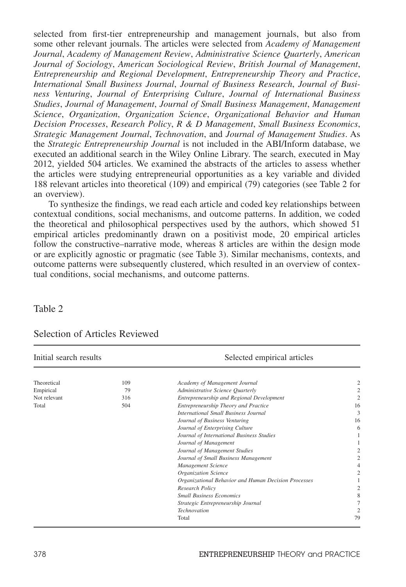selected from first-tier entrepreneurship and management journals, but also from some other relevant journals. The articles were selected from *Academy of Management Journal*, *Academy of Management Review*, *Administrative Science Quarterly*, *American Journal of Sociology*, *American Sociological Review*, *British Journal of Management*, *Entrepreneurship and Regional Development*, *Entrepreneurship Theory and Practice*, *International Small Business Journal*, *Journal of Business Research*, *Journal of Business Venturing*, *Journal of Enterprising Culture*, *Journal of International Business Studies*, *Journal of Management*, *Journal of Small Business Management*, *Management Science*, *Organization*, *Organization Science*, *Organizational Behavior and Human Decision Processes*, *Research Policy*, *R & D Management*, *Small Business Economics*, *Strategic Management Journal*, *Technovation*, and *Journal of Management Studies*. As the *Strategic Entrepreneurship Journal* is not included in the ABI/Inform database, we executed an additional search in the Wiley Online Library. The search, executed in May 2012, yielded 504 articles. We examined the abstracts of the articles to assess whether the articles were studying entrepreneurial opportunities as a key variable and divided 188 relevant articles into theoretical (109) and empirical (79) categories (see Table 2 for an overview).

To synthesize the findings, we read each article and coded key relationships between contextual conditions, social mechanisms, and outcome patterns. In addition, we coded the theoretical and philosophical perspectives used by the authors, which showed 51 empirical articles predominantly drawn on a positivist mode, 20 empirical articles follow the constructive–narrative mode, whereas 8 articles are within the design mode or are explicitly agnostic or pragmatic (see Table 3). Similar mechanisms, contexts, and outcome patterns were subsequently clustered, which resulted in an overview of contextual conditions, social mechanisms, and outcome patterns.

## Table 2

| Initial search results |     | Selected empirical articles                          |                |
|------------------------|-----|------------------------------------------------------|----------------|
| Theoretical            | 109 | Academy of Management Journal                        | $\overline{2}$ |
| Empirical              | 79  | Administrative Science Ouarterly                     | $\overline{c}$ |
| Not relevant           | 316 | Entrepreneurship and Regional Development            | $\overline{c}$ |
| Total                  | 504 | Entrepreneurship Theory and Practice                 | 16             |
|                        |     | International Small Business Journal                 | 3              |
|                        |     | Journal of Business Venturing                        | 16             |
|                        |     | Journal of Enterprising Culture                      | 6              |
|                        |     | Journal of International Business Studies            |                |
|                        |     | Journal of Management                                |                |
|                        |     | Journal of Management Studies                        | 2              |
|                        |     | Journal of Small Business Management                 | $\overline{c}$ |
|                        |     | Management Science                                   |                |
|                        |     | Organization Science                                 | $\overline{c}$ |
|                        |     | Organizational Behavior and Human Decision Processes |                |
|                        |     | Research Policy                                      | $\overline{2}$ |
|                        |     | <b>Small Business Economics</b>                      | 8              |
|                        |     | Strategic Entrepreneurship Journal                   |                |
|                        |     | <b>Technovation</b>                                  | $\overline{c}$ |
|                        |     | Total                                                | 79             |

## Selection of Articles Reviewed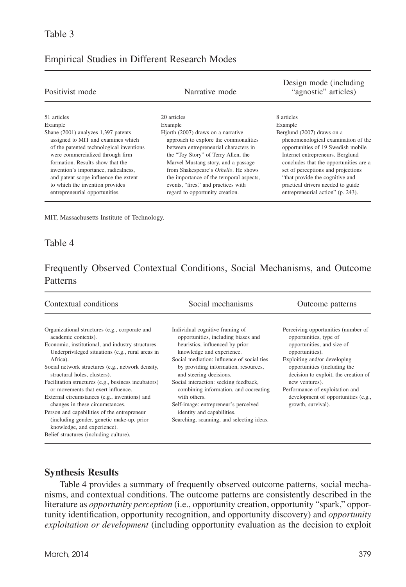| Positivist mode                                                                                                                                                                                                                                                                                                                                     | Narrative mode                                                                                                                                                                                                                                                                                                                                                  | Design mode (including)<br>"agnostic" articles)                                                                                                                                                                                                                                                                                          |  |
|-----------------------------------------------------------------------------------------------------------------------------------------------------------------------------------------------------------------------------------------------------------------------------------------------------------------------------------------------------|-----------------------------------------------------------------------------------------------------------------------------------------------------------------------------------------------------------------------------------------------------------------------------------------------------------------------------------------------------------------|------------------------------------------------------------------------------------------------------------------------------------------------------------------------------------------------------------------------------------------------------------------------------------------------------------------------------------------|--|
| 51 articles                                                                                                                                                                                                                                                                                                                                         | 20 articles                                                                                                                                                                                                                                                                                                                                                     | 8 articles                                                                                                                                                                                                                                                                                                                               |  |
| Example                                                                                                                                                                                                                                                                                                                                             | Example                                                                                                                                                                                                                                                                                                                                                         | Example                                                                                                                                                                                                                                                                                                                                  |  |
| Shane (2001) analyzes 1,397 patents<br>assigned to MIT and examines which<br>of the patented technological inventions<br>were commercialized through firm<br>formation. Results show that the<br>invention's importance, radicalness,<br>and patent scope influence the extent<br>to which the invention provides<br>entrepreneurial opportunities. | Hjorth (2007) draws on a narrative<br>approach to explore the commonalities<br>between entrepreneurial characters in<br>the "Toy Story" of Terry Allen, the<br>Marvel Mustang story, and a passage<br>from Shakespeare's Othello. He shows<br>the importance of the temporal aspects,<br>events, "fires," and practices with<br>regard to opportunity creation. | Berglund (2007) draws on a<br>phenomenological examination of the<br>opportunities of 19 Swedish mobile<br>Internet entrepreneurs. Berglund<br>concludes that the opportunities are a<br>set of perceptions and projections<br>"that provide the cognitive and<br>practical drivers needed to guide<br>entrepreneurial action" (p. 243). |  |

# Empirical Studies in Different Research Modes

MIT, Massachusetts Institute of Technology.

### Table 4

# Frequently Observed Contextual Conditions, Social Mechanisms, and Outcome Patterns

| Contextual conditions                                                                                                                                                                                                                                                                                                                                                        | Social mechanisms                                                                                                                                                                                                                                                                                                                         | Outcome patterns                                                                                                                                                                                                                                                            |  |
|------------------------------------------------------------------------------------------------------------------------------------------------------------------------------------------------------------------------------------------------------------------------------------------------------------------------------------------------------------------------------|-------------------------------------------------------------------------------------------------------------------------------------------------------------------------------------------------------------------------------------------------------------------------------------------------------------------------------------------|-----------------------------------------------------------------------------------------------------------------------------------------------------------------------------------------------------------------------------------------------------------------------------|--|
| Organizational structures (e.g., corporate and<br>academic contexts).<br>Economic, institutional, and industry structures.<br>Underprivileged situations (e.g., rural areas in<br>Africa).<br>Social network structures (e.g., network density,<br>structural holes, clusters).<br>Facilitation structures (e.g., business incubators)<br>or movements that exert influence. | Individual cognitive framing of<br>opportunities, including biases and<br>heuristics, influenced by prior<br>knowledge and experience.<br>Social mediation: influence of social ties<br>by providing information, resources,<br>and steering decisions.<br>Social interaction: seeking feedback,<br>combining information, and cocreating | Perceiving opportunities (number of<br>opportunities, type of<br>opportunities, and size of<br>opportunities).<br>Exploiting and/or developing<br>opportunities (including the<br>decision to exploit, the creation of<br>new ventures).<br>Performance of exploitation and |  |
| External circumstances (e.g., inventions) and<br>changes in these circumstances.<br>Person and capabilities of the entrepreneur<br>(including gender, genetic make-up, prior<br>knowledge, and experience).<br>Belief structures (including culture).                                                                                                                        | with others.<br>Self-image: entrepreneur's perceived<br>identity and capabilities.<br>Searching, scanning, and selecting ideas.                                                                                                                                                                                                           | development of opportunities (e.g.,<br>growth, survival).                                                                                                                                                                                                                   |  |

### **Synthesis Results**

Table 4 provides a summary of frequently observed outcome patterns, social mechanisms, and contextual conditions. The outcome patterns are consistently described in the literature as *opportunity perception* (i.e., opportunity creation, opportunity "spark," opportunity identification, opportunity recognition, and opportunity discovery) and *opportunity exploitation or development* (including opportunity evaluation as the decision to exploit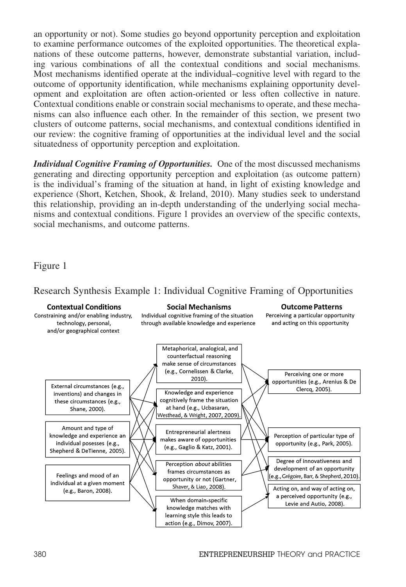an opportunity or not). Some studies go beyond opportunity perception and exploitation to examine performance outcomes of the exploited opportunities. The theoretical explanations of these outcome patterns, however, demonstrate substantial variation, including various combinations of all the contextual conditions and social mechanisms. Most mechanisms identified operate at the individual–cognitive level with regard to the outcome of opportunity identification, while mechanisms explaining opportunity development and exploitation are often action-oriented or less often collective in nature. Contextual conditions enable or constrain social mechanisms to operate, and these mechanisms can also influence each other. In the remainder of this section, we present two clusters of outcome patterns, social mechanisms, and contextual conditions identified in our review: the cognitive framing of opportunities at the individual level and the social situatedness of opportunity perception and exploitation.

*Individual Cognitive Framing of Opportunities.* One of the most discussed mechanisms generating and directing opportunity perception and exploitation (as outcome pattern) is the individual's framing of the situation at hand, in light of existing knowledge and experience (Short, Ketchen, Shook, & Ireland, 2010). Many studies seek to understand this relationship, providing an in-depth understanding of the underlying social mechanisms and contextual conditions. Figure 1 provides an overview of the specific contexts, social mechanisms, and outcome patterns.

Figure 1

Research Synthesis Example 1: Individual Cognitive Framing of Opportunities

#### **Contextual Conditions**

Constraining and/or enabling industry, technology, personal, and/or geographical context

#### **Social Mechanisms**

Individual cognitive framing of the situation through available knowledge and experience

**Outcome Patterns** Perceiving a particular opportunity and acting on this opportunity

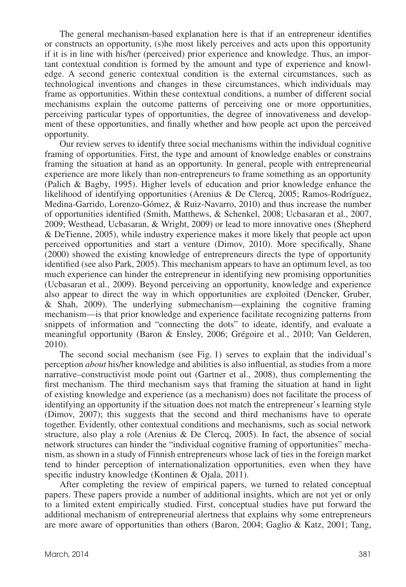The general mechanism-based explanation here is that if an entrepreneur identifies or constructs an opportunity, (s)he most likely perceives and acts upon this opportunity if it is in line with his/her (perceived) prior experience and knowledge. Thus, an important contextual condition is formed by the amount and type of experience and knowledge. A second generic contextual condition is the external circumstances, such as technological inventions and changes in these circumstances, which individuals may frame as opportunities. Within these contextual conditions, a number of different social mechanisms explain the outcome patterns of perceiving one or more opportunities, perceiving particular types of opportunities, the degree of innovativeness and development of these opportunities, and finally whether and how people act upon the perceived opportunity.

Our review serves to identify three social mechanisms within the individual cognitive framing of opportunities. First, the type and amount of knowledge enables or constrains framing the situation at hand as an opportunity. In general, people with entrepreneurial experience are more likely than non-entrepreneurs to frame something as an opportunity (Palich & Bagby, 1995). Higher levels of education and prior knowledge enhance the likelihood of identifying opportunities (Arenius & De Clercq, 2005; Ramos-Rodríguez, Medina-Garrido, Lorenzo-Gómez, & Ruiz-Navarro, 2010) and thus increase the number of opportunities identified (Smith, Matthews, & Schenkel, 2008; Ucbasaran et al., 2007, 2009; Westhead, Ucbasaran, & Wright, 2009) or lead to more innovative ones (Shepherd & DeTienne, 2005), while industry experience makes it more likely that people act upon perceived opportunities and start a venture (Dimov, 2010). More specifically, Shane (2000) showed the existing knowledge of entrepreneurs directs the type of opportunity identified (see also Park, 2005). This mechanism appears to have an optimum level, as too much experience can hinder the entrepreneur in identifying new promising opportunities (Ucbasaran et al., 2009). Beyond perceiving an opportunity, knowledge and experience also appear to direct the way in which opportunities are exploited (Dencker, Gruber, & Shah, 2009). The underlying submechanism—explaining the cognitive framing mechanism—is that prior knowledge and experience facilitate recognizing patterns from snippets of information and "connecting the dots" to ideate, identify, and evaluate a meaningful opportunity (Baron & Ensley, 2006; Grégoire et al., 2010; Van Gelderen, 2010).

The second social mechanism (see Fig. 1) serves to explain that the individual's perception *about* his/her knowledge and abilities is also influential, as studies from a more narrative–constructivist mode point out (Gartner et al., 2008), thus complementing the first mechanism. The third mechanism says that framing the situation at hand in light of existing knowledge and experience (as a mechanism) does not facilitate the process of identifying an opportunity if the situation does not match the entrepreneur's learning style (Dimov, 2007); this suggests that the second and third mechanisms have to operate together. Evidently, other contextual conditions and mechanisms, such as social network structure, also play a role (Arenius & De Clercq, 2005). In fact, the absence of social network structures can hinder the "individual cognitive framing of opportunities" mechanism, as shown in a study of Finnish entrepreneurs whose lack of ties in the foreign market tend to hinder perception of internationalization opportunities, even when they have specific industry knowledge (Kontinen & Ojala, 2011).

After completing the review of empirical papers, we turned to related conceptual papers. These papers provide a number of additional insights, which are not yet or only to a limited extent empirically studied. First, conceptual studies have put forward the additional mechanism of entrepreneurial alertness that explains why some entrepreneurs are more aware of opportunities than others (Baron, 2004; Gaglio & Katz, 2001; Tang,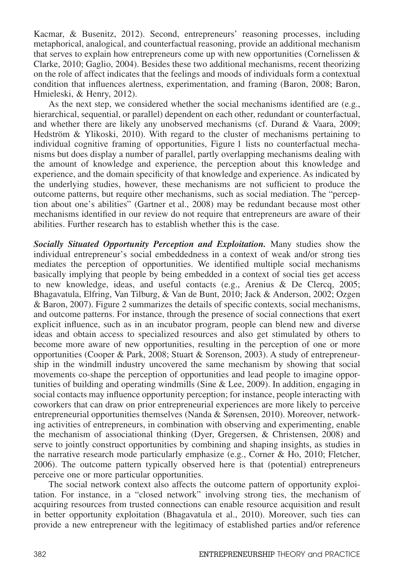Kacmar, & Busenitz, 2012). Second, entrepreneurs' reasoning processes, including metaphorical, analogical, and counterfactual reasoning, provide an additional mechanism that serves to explain how entrepreneurs come up with new opportunities (Cornelissen  $\&$ Clarke, 2010; Gaglio, 2004). Besides these two additional mechanisms, recent theorizing on the role of affect indicates that the feelings and moods of individuals form a contextual condition that influences alertness, experimentation, and framing (Baron, 2008; Baron, Hmieleski, & Henry, 2012).

As the next step, we considered whether the social mechanisms identified are (e.g., hierarchical, sequential, or parallel) dependent on each other, redundant or counterfactual, and whether there are likely any unobserved mechanisms (cf. Durand & Vaara, 2009; Hedström & Ylikoski, 2010). With regard to the cluster of mechanisms pertaining to individual cognitive framing of opportunities, Figure 1 lists no counterfactual mechanisms but does display a number of parallel, partly overlapping mechanisms dealing with the amount of knowledge and experience, the perception about this knowledge and experience, and the domain specificity of that knowledge and experience. As indicated by the underlying studies, however, these mechanisms are not sufficient to produce the outcome patterns, but require other mechanisms, such as social mediation. The "perception about one's abilities" (Gartner et al., 2008) may be redundant because most other mechanisms identified in our review do not require that entrepreneurs are aware of their abilities. Further research has to establish whether this is the case.

*Socially Situated Opportunity Perception and Exploitation.* Many studies show the individual entrepreneur's social embeddedness in a context of weak and/or strong ties mediates the perception of opportunities. We identified multiple social mechanisms basically implying that people by being embedded in a context of social ties get access to new knowledge, ideas, and useful contacts (e.g., Arenius & De Clercq, 2005; Bhagavatula, Elfring, Van Tilburg, & Van de Bunt, 2010; Jack & Anderson, 2002; Ozgen & Baron, 2007). Figure 2 summarizes the details of specific contexts, social mechanisms, and outcome patterns. For instance, through the presence of social connections that exert explicit influence, such as in an incubator program, people can blend new and diverse ideas and obtain access to specialized resources and also get stimulated by others to become more aware of new opportunities, resulting in the perception of one or more opportunities (Cooper & Park, 2008; Stuart & Sorenson, 2003). A study of entrepreneurship in the windmill industry uncovered the same mechanism by showing that social movements co-shape the perception of opportunities and lead people to imagine opportunities of building and operating windmills (Sine & Lee, 2009). In addition, engaging in social contacts may influence opportunity perception; for instance, people interacting with coworkers that can draw on prior entrepreneurial experiences are more likely to perceive entrepreneurial opportunities themselves (Nanda & Sørensen, 2010). Moreover, networking activities of entrepreneurs, in combination with observing and experimenting, enable the mechanism of associational thinking (Dyer, Gregersen, & Christensen, 2008) and serve to jointly construct opportunities by combining and shaping insights, as studies in the narrative research mode particularly emphasize (e.g., Corner & Ho, 2010; Fletcher, 2006). The outcome pattern typically observed here is that (potential) entrepreneurs perceive one or more particular opportunities.

The social network context also affects the outcome pattern of opportunity exploitation. For instance, in a "closed network" involving strong ties, the mechanism of acquiring resources from trusted connections can enable resource acquisition and result in better opportunity exploitation (Bhagavatula et al., 2010). Moreover, such ties can provide a new entrepreneur with the legitimacy of established parties and/or reference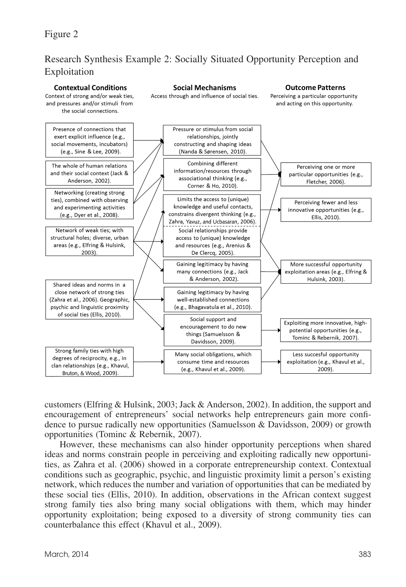# Research Synthesis Example 2: Socially Situated Opportunity Perception and Exploitation



customers (Elfring & Hulsink, 2003; Jack & Anderson, 2002). In addition, the support and encouragement of entrepreneurs' social networks help entrepreneurs gain more confidence to pursue radically new opportunities (Samuelsson & Davidsson, 2009) or growth opportunities (Tominc & Rebernik, 2007).

However, these mechanisms can also hinder opportunity perceptions when shared ideas and norms constrain people in perceiving and exploiting radically new opportunities, as Zahra et al. (2006) showed in a corporate entrepreneurship context. Contextual conditions such as geographic, psychic, and linguistic proximity limit a person's existing network, which reduces the number and variation of opportunities that can be mediated by these social ties (Ellis, 2010). In addition, observations in the African context suggest strong family ties also bring many social obligations with them, which may hinder opportunity exploitation; being exposed to a diversity of strong community ties can counterbalance this effect (Khavul et al., 2009).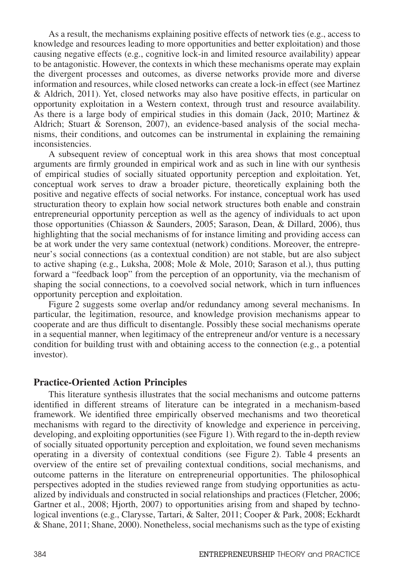As a result, the mechanisms explaining positive effects of network ties (e.g., access to knowledge and resources leading to more opportunities and better exploitation) and those causing negative effects (e.g., cognitive lock-in and limited resource availability) appear to be antagonistic. However, the contexts in which these mechanisms operate may explain the divergent processes and outcomes, as diverse networks provide more and diverse information and resources, while closed networks can create a lock-in effect (see Martinez & Aldrich, 2011). Yet, closed networks may also have positive effects, in particular on opportunity exploitation in a Western context, through trust and resource availability. As there is a large body of empirical studies in this domain (Jack, 2010; Martinez & Aldrich; Stuart & Sorenson, 2007), an evidence-based analysis of the social mechanisms, their conditions, and outcomes can be instrumental in explaining the remaining inconsistencies.

A subsequent review of conceptual work in this area shows that most conceptual arguments are firmly grounded in empirical work and as such in line with our synthesis of empirical studies of socially situated opportunity perception and exploitation. Yet, conceptual work serves to draw a broader picture, theoretically explaining both the positive and negative effects of social networks. For instance, conceptual work has used structuration theory to explain how social network structures both enable and constrain entrepreneurial opportunity perception as well as the agency of individuals to act upon those opportunities (Chiasson & Saunders, 2005; Sarason, Dean, & Dillard, 2006), thus highlighting that the social mechanisms of for instance limiting and providing access can be at work under the very same contextual (network) conditions. Moreover, the entrepreneur's social connections (as a contextual condition) are not stable, but are also subject to active shaping (e.g., Luksha, 2008; Mole & Mole, 2010; Sarason et al.), thus putting forward a "feedback loop" from the perception of an opportunity, via the mechanism of shaping the social connections, to a coevolved social network, which in turn influences opportunity perception and exploitation.

Figure 2 suggests some overlap and/or redundancy among several mechanisms. In particular, the legitimation, resource, and knowledge provision mechanisms appear to cooperate and are thus difficult to disentangle. Possibly these social mechanisms operate in a sequential manner, when legitimacy of the entrepreneur and/or venture is a necessary condition for building trust with and obtaining access to the connection (e.g., a potential investor).

### **Practice-Oriented Action Principles**

This literature synthesis illustrates that the social mechanisms and outcome patterns identified in different streams of literature can be integrated in a mechanism-based framework. We identified three empirically observed mechanisms and two theoretical mechanisms with regard to the directivity of knowledge and experience in perceiving, developing, and exploiting opportunities (see Figure 1). With regard to the in-depth review of socially situated opportunity perception and exploitation, we found seven mechanisms operating in a diversity of contextual conditions (see Figure 2). Table 4 presents an overview of the entire set of prevailing contextual conditions, social mechanisms, and outcome patterns in the literature on entrepreneurial opportunities. The philosophical perspectives adopted in the studies reviewed range from studying opportunities as actualized by individuals and constructed in social relationships and practices (Fletcher, 2006; Gartner et al., 2008; Hjorth, 2007) to opportunities arising from and shaped by technological inventions (e.g., Clarysse, Tartari, & Salter, 2011; Cooper & Park, 2008; Eckhardt & Shane, 2011; Shane, 2000). Nonetheless, social mechanisms such as the type of existing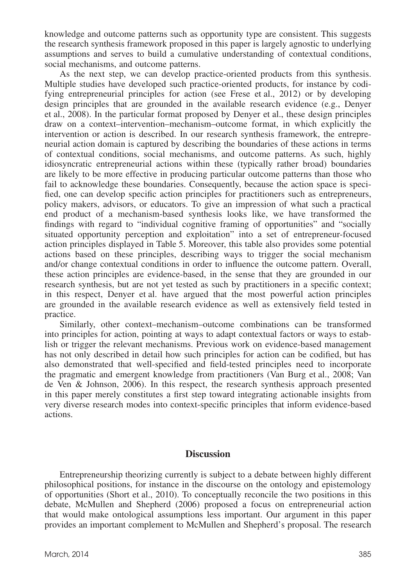knowledge and outcome patterns such as opportunity type are consistent. This suggests the research synthesis framework proposed in this paper is largely agnostic to underlying assumptions and serves to build a cumulative understanding of contextual conditions, social mechanisms, and outcome patterns.

As the next step, we can develop practice-oriented products from this synthesis. Multiple studies have developed such practice-oriented products, for instance by codifying entrepreneurial principles for action (see Frese et al., 2012) or by developing design principles that are grounded in the available research evidence (e.g., Denyer et al., 2008). In the particular format proposed by Denyer et al., these design principles draw on a context–intervention–mechanism–outcome format, in which explicitly the intervention or action is described. In our research synthesis framework, the entrepreneurial action domain is captured by describing the boundaries of these actions in terms of contextual conditions, social mechanisms, and outcome patterns. As such, highly idiosyncratic entrepreneurial actions within these (typically rather broad) boundaries are likely to be more effective in producing particular outcome patterns than those who fail to acknowledge these boundaries. Consequently, because the action space is specified, one can develop specific action principles for practitioners such as entrepreneurs, policy makers, advisors, or educators. To give an impression of what such a practical end product of a mechanism-based synthesis looks like, we have transformed the findings with regard to "individual cognitive framing of opportunities" and "socially situated opportunity perception and exploitation" into a set of entrepreneur-focused action principles displayed in Table 5. Moreover, this table also provides some potential actions based on these principles, describing ways to trigger the social mechanism and/or change contextual conditions in order to influence the outcome pattern. Overall, these action principles are evidence-based, in the sense that they are grounded in our research synthesis, but are not yet tested as such by practitioners in a specific context; in this respect, Denyer et al. have argued that the most powerful action principles are grounded in the available research evidence as well as extensively field tested in practice.

Similarly, other context–mechanism–outcome combinations can be transformed into principles for action, pointing at ways to adapt contextual factors or ways to establish or trigger the relevant mechanisms. Previous work on evidence-based management has not only described in detail how such principles for action can be codified, but has also demonstrated that well-specified and field-tested principles need to incorporate the pragmatic and emergent knowledge from practitioners (Van Burg et al., 2008; Van de Ven & Johnson, 2006). In this respect, the research synthesis approach presented in this paper merely constitutes a first step toward integrating actionable insights from very diverse research modes into context-specific principles that inform evidence-based actions.

#### **Discussion**

Entrepreneurship theorizing currently is subject to a debate between highly different philosophical positions, for instance in the discourse on the ontology and epistemology of opportunities (Short et al., 2010). To conceptually reconcile the two positions in this debate, McMullen and Shepherd (2006) proposed a focus on entrepreneurial action that would make ontological assumptions less important. Our argument in this paper provides an important complement to McMullen and Shepherd's proposal. The research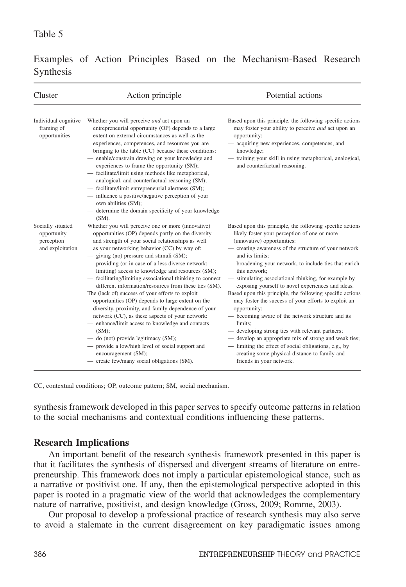# Table 5

# Examples of Action Principles Based on the Mechanism-Based Research Synthesis

| Cluster                                                            | Action principle                                                                                                                                                                                                                                                                                                                                                                                                                                                                                                                                                                                                                                                                                                                                                                                                                                                                                                                               | Potential actions                                                                                                                                                                                                                                                                                                                                                                                                                                                                                                                                                                                                                                                                                                                                                                                                                                                    |
|--------------------------------------------------------------------|------------------------------------------------------------------------------------------------------------------------------------------------------------------------------------------------------------------------------------------------------------------------------------------------------------------------------------------------------------------------------------------------------------------------------------------------------------------------------------------------------------------------------------------------------------------------------------------------------------------------------------------------------------------------------------------------------------------------------------------------------------------------------------------------------------------------------------------------------------------------------------------------------------------------------------------------|----------------------------------------------------------------------------------------------------------------------------------------------------------------------------------------------------------------------------------------------------------------------------------------------------------------------------------------------------------------------------------------------------------------------------------------------------------------------------------------------------------------------------------------------------------------------------------------------------------------------------------------------------------------------------------------------------------------------------------------------------------------------------------------------------------------------------------------------------------------------|
| Individual cognitive<br>framing of<br>opportunities                | Whether you will perceive <i>and</i> act upon an<br>entrepreneurial opportunity (OP) depends to a large<br>extent on external circumstances as well as the<br>experiences, competences, and resources you are<br>bringing to the table (CC) because these conditions:<br>- enable/constrain drawing on your knowledge and<br>experiences to frame the opportunity (SM);<br>- facilitate/limit using methods like metaphorical,<br>analogical, and counterfactual reasoning (SM);<br>- facilitate/limit entrepreneurial alertness (SM);<br>- influence a positive/negative perception of your<br>own abilities (SM);<br>- determine the domain specificity of your knowledge<br>$(SM)$ .                                                                                                                                                                                                                                                        | Based upon this principle, the following specific actions<br>may foster your ability to perceive and act upon an<br>opportunity:<br>- acquiring new experiences, competences, and<br>knowledge;<br>- training your skill in using metaphorical, analogical,<br>and counterfactual reasoning.                                                                                                                                                                                                                                                                                                                                                                                                                                                                                                                                                                         |
| Socially situated<br>opportunity<br>perception<br>and exploitation | Whether you will perceive one or more (innovative)<br>opportunities (OP) depends partly on the diversity<br>and strength of your social relationships as well<br>as your networking behavior (CC) by way of:<br>- giving (no) pressure and stimuli (SM);<br>- providing (or in case of a less diverse network:<br>limiting) access to knowledge and resources (SM);<br>- facilitating/limiting associational thinking to connect<br>different information/resources from these ties (SM).<br>The (lack of) success of your efforts to exploit<br>opportunities (OP) depends to large extent on the<br>diversity, proximity, and family dependence of your<br>network (CC), as these aspects of your network:<br>- enhance/limit access to knowledge and contacts<br>$(SM)$ ;<br>$-$ do (not) provide legitimacy (SM);<br>- provide a low/high level of social support and<br>encouragement (SM);<br>- create few/many social obligations (SM). | Based upon this principle, the following specific actions<br>likely foster your perception of one or more<br>(innovative) opportunities:<br>- creating awareness of the structure of your network<br>and its limits:<br>- broadening your network, to include ties that enrich<br>this network;<br>- stimulating associational thinking, for example by<br>exposing yourself to novel experiences and ideas.<br>Based upon this principle, the following specific actions<br>may foster the success of your efforts to exploit an<br>opportunity:<br>- becoming aware of the network structure and its<br>limits:<br>- developing strong ties with relevant partners;<br>- develop an appropriate mix of strong and weak ties;<br>- limiting the effect of social obligations, e.g., by<br>creating some physical distance to family and<br>friends in your network. |

CC, contextual conditions; OP, outcome pattern; SM, social mechanism.

synthesis framework developed in this paper serves to specify outcome patterns in relation to the social mechanisms and contextual conditions influencing these patterns.

#### **Research Implications**

An important benefit of the research synthesis framework presented in this paper is that it facilitates the synthesis of dispersed and divergent streams of literature on entrepreneurship. This framework does not imply a particular epistemological stance, such as a narrative or positivist one. If any, then the epistemological perspective adopted in this paper is rooted in a pragmatic view of the world that acknowledges the complementary nature of narrative, positivist, and design knowledge (Gross, 2009; Romme, 2003).

Our proposal to develop a professional practice of research synthesis may also serve to avoid a stalemate in the current disagreement on key paradigmatic issues among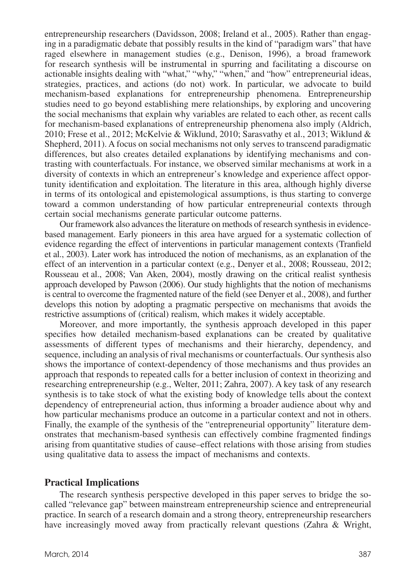entrepreneurship researchers (Davidsson, 2008; Ireland et al., 2005). Rather than engaging in a paradigmatic debate that possibly results in the kind of "paradigm wars" that have raged elsewhere in management studies (e.g., Denison, 1996), a broad framework for research synthesis will be instrumental in spurring and facilitating a discourse on actionable insights dealing with "what," "why," "when," and "how" entrepreneurial ideas, strategies, practices, and actions (do not) work. In particular, we advocate to build mechanism-based explanations for entrepreneurship phenomena. Entrepreneurship studies need to go beyond establishing mere relationships, by exploring and uncovering the social mechanisms that explain why variables are related to each other, as recent calls for mechanism-based explanations of entrepreneurship phenomena also imply (Aldrich, 2010; Frese et al., 2012; McKelvie & Wiklund, 2010; Sarasvathy et al., 2013; Wiklund & Shepherd, 2011). A focus on social mechanisms not only serves to transcend paradigmatic differences, but also creates detailed explanations by identifying mechanisms and contrasting with counterfactuals. For instance, we observed similar mechanisms at work in a diversity of contexts in which an entrepreneur's knowledge and experience affect opportunity identification and exploitation. The literature in this area, although highly diverse in terms of its ontological and epistemological assumptions, is thus starting to converge toward a common understanding of how particular entrepreneurial contexts through certain social mechanisms generate particular outcome patterns.

Our framework also advances the literature on methods of research synthesis in evidencebased management. Early pioneers in this area have argued for a systematic collection of evidence regarding the effect of interventions in particular management contexts (Tranfield et al., 2003). Later work has introduced the notion of mechanisms, as an explanation of the effect of an intervention in a particular context (e.g., Denyer et al., 2008; Rousseau, 2012; Rousseau et al., 2008; Van Aken, 2004), mostly drawing on the critical realist synthesis approach developed by Pawson (2006). Our study highlights that the notion of mechanisms is central to overcome the fragmented nature of the field (see Denyer et al., 2008), and further develops this notion by adopting a pragmatic perspective on mechanisms that avoids the restrictive assumptions of (critical) realism, which makes it widely acceptable.

Moreover, and more importantly, the synthesis approach developed in this paper specifies how detailed mechanism-based explanations can be created by qualitative assessments of different types of mechanisms and their hierarchy, dependency, and sequence, including an analysis of rival mechanisms or counterfactuals. Our synthesis also shows the importance of context-dependency of those mechanisms and thus provides an approach that responds to repeated calls for a better inclusion of context in theorizing and researching entrepreneurship (e.g., Welter, 2011; Zahra, 2007). A key task of any research synthesis is to take stock of what the existing body of knowledge tells about the context dependency of entrepreneurial action, thus informing a broader audience about why and how particular mechanisms produce an outcome in a particular context and not in others. Finally, the example of the synthesis of the "entrepreneurial opportunity" literature demonstrates that mechanism-based synthesis can effectively combine fragmented findings arising from quantitative studies of cause–effect relations with those arising from studies using qualitative data to assess the impact of mechanisms and contexts.

#### **Practical Implications**

The research synthesis perspective developed in this paper serves to bridge the socalled "relevance gap" between mainstream entrepreneurship science and entrepreneurial practice. In search of a research domain and a strong theory, entrepreneurship researchers have increasingly moved away from practically relevant questions (Zahra & Wright,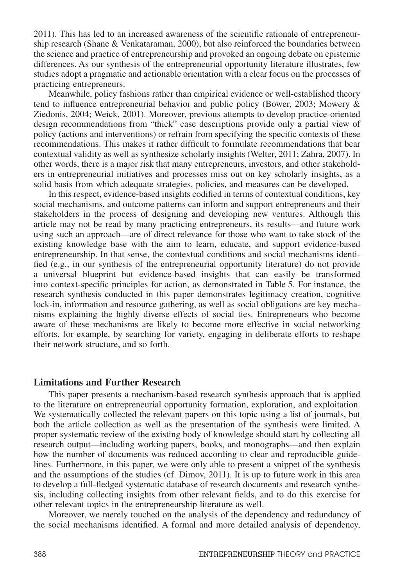2011). This has led to an increased awareness of the scientific rationale of entrepreneurship research (Shane & Venkataraman, 2000), but also reinforced the boundaries between the science and practice of entrepreneurship and provoked an ongoing debate on epistemic differences. As our synthesis of the entrepreneurial opportunity literature illustrates, few studies adopt a pragmatic and actionable orientation with a clear focus on the processes of practicing entrepreneurs.

Meanwhile, policy fashions rather than empirical evidence or well-established theory tend to influence entrepreneurial behavior and public policy (Bower, 2003; Mowery & Ziedonis, 2004; Weick, 2001). Moreover, previous attempts to develop practice-oriented design recommendations from "thick" case descriptions provide only a partial view of policy (actions and interventions) or refrain from specifying the specific contexts of these recommendations. This makes it rather difficult to formulate recommendations that bear contextual validity as well as synthesize scholarly insights (Welter, 2011; Zahra, 2007). In other words, there is a major risk that many entrepreneurs, investors, and other stakeholders in entrepreneurial initiatives and processes miss out on key scholarly insights, as a solid basis from which adequate strategies, policies, and measures can be developed.

In this respect, evidence-based insights codified in terms of contextual conditions, key social mechanisms, and outcome patterns can inform and support entrepreneurs and their stakeholders in the process of designing and developing new ventures. Although this article may not be read by many practicing entrepreneurs, its results—and future work using such an approach—are of direct relevance for those who want to take stock of the existing knowledge base with the aim to learn, educate, and support evidence-based entrepreneurship. In that sense, the contextual conditions and social mechanisms identified (e.g., in our synthesis of the entrepreneurial opportunity literature) do not provide a universal blueprint but evidence-based insights that can easily be transformed into context-specific principles for action, as demonstrated in Table 5. For instance, the research synthesis conducted in this paper demonstrates legitimacy creation, cognitive lock-in, information and resource gathering, as well as social obligations are key mechanisms explaining the highly diverse effects of social ties. Entrepreneurs who become aware of these mechanisms are likely to become more effective in social networking efforts, for example, by searching for variety, engaging in deliberate efforts to reshape their network structure, and so forth.

#### **Limitations and Further Research**

This paper presents a mechanism-based research synthesis approach that is applied to the literature on entrepreneurial opportunity formation, exploration, and exploitation. We systematically collected the relevant papers on this topic using a list of journals, but both the article collection as well as the presentation of the synthesis were limited. A proper systematic review of the existing body of knowledge should start by collecting all research output—including working papers, books, and monographs—and then explain how the number of documents was reduced according to clear and reproducible guidelines. Furthermore, in this paper, we were only able to present a snippet of the synthesis and the assumptions of the studies (cf. Dimov, 2011). It is up to future work in this area to develop a full-fledged systematic database of research documents and research synthesis, including collecting insights from other relevant fields, and to do this exercise for other relevant topics in the entrepreneurship literature as well.

Moreover, we merely touched on the analysis of the dependency and redundancy of the social mechanisms identified. A formal and more detailed analysis of dependency,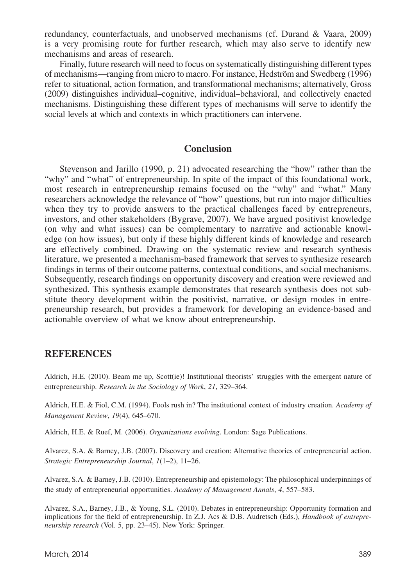redundancy, counterfactuals, and unobserved mechanisms (cf. Durand & Vaara, 2009) is a very promising route for further research, which may also serve to identify new mechanisms and areas of research.

Finally, future research will need to focus on systematically distinguishing different types of mechanisms—ranging from micro to macro. For instance, Hedström and Swedberg (1996) refer to situational, action formation, and transformational mechanisms; alternatively, Gross (2009) distinguishes individual–cognitive, individual–behavioral, and collectively enacted mechanisms. Distinguishing these different types of mechanisms will serve to identify the social levels at which and contexts in which practitioners can intervene.

#### **Conclusion**

Stevenson and Jarillo (1990, p. 21) advocated researching the "how" rather than the "why" and "what" of entrepreneurship. In spite of the impact of this foundational work, most research in entrepreneurship remains focused on the "why" and "what." Many researchers acknowledge the relevance of "how" questions, but run into major difficulties when they try to provide answers to the practical challenges faced by entrepreneurs, investors, and other stakeholders (Bygrave, 2007). We have argued positivist knowledge (on why and what issues) can be complementary to narrative and actionable knowledge (on how issues), but only if these highly different kinds of knowledge and research are effectively combined. Drawing on the systematic review and research synthesis literature, we presented a mechanism-based framework that serves to synthesize research findings in terms of their outcome patterns, contextual conditions, and social mechanisms. Subsequently, research findings on opportunity discovery and creation were reviewed and synthesized. This synthesis example demonstrates that research synthesis does not substitute theory development within the positivist, narrative, or design modes in entrepreneurship research, but provides a framework for developing an evidence-based and actionable overview of what we know about entrepreneurship.

#### **REFERENCES**

Aldrich, H.E. (2010). Beam me up, Scott(ie)! Institutional theorists' struggles with the emergent nature of entrepreneurship. *Research in the Sociology of Work*, *21*, 329–364.

Aldrich, H.E. & Fiol, C.M. (1994). Fools rush in? The institutional context of industry creation. *Academy of Management Review*, *19*(4), 645–670.

Aldrich, H.E. & Ruef, M. (2006). *Organizations evolving*. London: Sage Publications.

Alvarez, S.A. & Barney, J.B. (2007). Discovery and creation: Alternative theories of entrepreneurial action. *Strategic Entrepreneurship Journal*, *1*(1–2), 11–26.

Alvarez, S.A. & Barney, J.B. (2010). Entrepreneurship and epistemology: The philosophical underpinnings of the study of entrepreneurial opportunities. *Academy of Management Annals*, *4*, 557–583.

Alvarez, S.A., Barney, J.B., & Young, S.L. (2010). Debates in entrepreneurship: Opportunity formation and implications for the field of entrepreneurship. In Z.J. Acs & D.B. Audretsch (Eds.), *Handbook of entrepreneurship research* (Vol. 5, pp. 23–45). New York: Springer.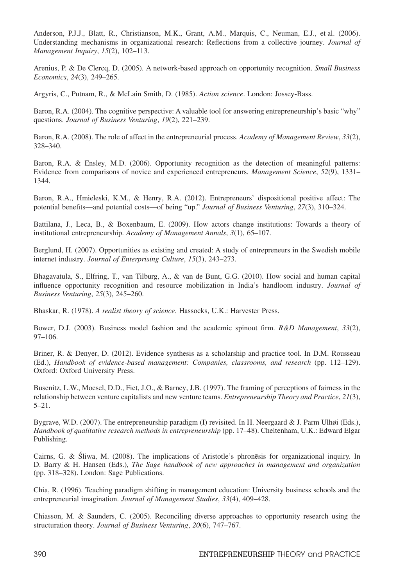Anderson, P.J.J., Blatt, R., Christianson, M.K., Grant, A.M., Marquis, C., Neuman, E.J., et al. (2006). Understanding mechanisms in organizational research: Reflections from a collective journey. *Journal of Management Inquiry*, *15*(2), 102–113.

Arenius, P. & De Clercq, D. (2005). A network-based approach on opportunity recognition. *Small Business Economics*, *24*(3), 249–265.

Argyris, C., Putnam, R., & McLain Smith, D. (1985). *Action science*. London: Jossey-Bass.

Baron, R.A. (2004). The cognitive perspective: A valuable tool for answering entrepreneurship's basic "why" questions. *Journal of Business Venturing*, *19*(2), 221–239.

Baron, R.A. (2008). The role of affect in the entrepreneurial process. *Academy of Management Review*, *33*(2), 328–340.

Baron, R.A. & Ensley, M.D. (2006). Opportunity recognition as the detection of meaningful patterns: Evidence from comparisons of novice and experienced entrepreneurs. *Management Science*, *52*(9), 1331– 1344.

Baron, R.A., Hmieleski, K.M., & Henry, R.A. (2012). Entrepreneurs' dispositional positive affect: The potential benefits—and potential costs—of being "up." *Journal of Business Venturing*, *27*(3), 310–324.

Battilana, J., Leca, B., & Boxenbaum, E. (2009). How actors change institutions: Towards a theory of institutional entrepreneurship. *Academy of Management Annals*, *3*(1), 65–107.

Berglund, H. (2007). Opportunities as existing and created: A study of entrepreneurs in the Swedish mobile internet industry. *Journal of Enterprising Culture*, *15*(3), 243–273.

Bhagavatula, S., Elfring, T., van Tilburg, A., & van de Bunt, G.G. (2010). How social and human capital influence opportunity recognition and resource mobilization in India's handloom industry. *Journal of Business Venturing*, *25*(3), 245–260.

Bhaskar, R. (1978). *A realist theory of science*. Hassocks, U.K.: Harvester Press.

Bower, D.J. (2003). Business model fashion and the academic spinout firm. *R&D Management*, *33*(2), 97–106.

Briner, R. & Denyer, D. (2012). Evidence synthesis as a scholarship and practice tool. In D.M. Rousseau (Ed.), *Handbook of evidence-based management: Companies, classrooms, and research* (pp. 112–129). Oxford: Oxford University Press.

Busenitz, L.W., Moesel, D.D., Fiet, J.O., & Barney, J.B. (1997). The framing of perceptions of fairness in the relationship between venture capitalists and new venture teams. *Entrepreneurship Theory and Practice*, *21*(3), 5–21.

Bygrave, W.D. (2007). The entrepreneurship paradigm (I) revisited. In H. Neergaard & J. Parm Ulhøi (Eds.), *Handbook of qualitative research methods in entrepreneurship* (pp. 17–48). Cheltenham, U.K.: Edward Elgar Publishing.

Cairns, G. & Śliwa, M. (2008). The implications of Aristotle's phronesis for organizational inquiry. In D. Barry & H. Hansen (Eds.), *The Sage handbook of new approaches in management and organization* (pp. 318–328). London: Sage Publications.

Chia, R. (1996). Teaching paradigm shifting in management education: University business schools and the entrepreneurial imagination. *Journal of Management Studies*, *33*(4), 409–428.

Chiasson, M. & Saunders, C. (2005). Reconciling diverse approaches to opportunity research using the structuration theory. *Journal of Business Venturing*, *20*(6), 747–767.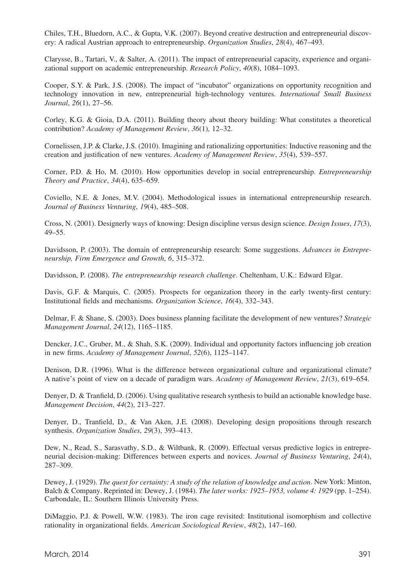Chiles, T.H., Bluedorn, A.C., & Gupta, V.K. (2007). Beyond creative destruction and entrepreneurial discovery: A radical Austrian approach to entrepreneurship. *Organization Studies*, *28*(4), 467–493.

Clarysse, B., Tartari, V., & Salter, A. (2011). The impact of entrepreneurial capacity, experience and organizational support on academic entrepreneurship. *Research Policy*, *40*(8), 1084–1093.

Cooper, S.Y. & Park, J.S. (2008). The impact of "incubator" organizations on opportunity recognition and technology innovation in new, entrepreneurial high-technology ventures. *International Small Business Journal*, *26*(1), 27–56.

Corley, K.G. & Gioia, D.A. (2011). Building theory about theory building: What constitutes a theoretical contribution? *Academy of Management Review*, *36*(1), 12–32.

Cornelissen, J.P. & Clarke, J.S. (2010). Imagining and rationalizing opportunities: Inductive reasoning and the creation and justification of new ventures. *Academy of Management Review*, *35*(4), 539–557.

Corner, P.D. & Ho, M. (2010). How opportunities develop in social entrepreneurship. *Entrepreneurship Theory and Practice*, *34*(4), 635–659.

Coviello, N.E. & Jones, M.V. (2004). Methodological issues in international entrepreneurship research. *Journal of Business Venturing*, *19*(4), 485–508.

Cross, N. (2001). Designerly ways of knowing: Design discipline versus design science. *Design Issues*, *17*(3), 49–55.

Davidsson, P. (2003). The domain of entrepreneurship research: Some suggestions. *Advances in Entrepreneurship, Firm Emergence and Growth*, *6*, 315–372.

Davidsson, P. (2008). *The entrepreneurship research challenge*. Cheltenham, U.K.: Edward Elgar.

Davis, G.F. & Marquis, C. (2005). Prospects for organization theory in the early twenty-first century: Institutional fields and mechanisms. *Organization Science*, *16*(4), 332–343.

Delmar, F. & Shane, S. (2003). Does business planning facilitate the development of new ventures? *Strategic Management Journal*, *24*(12), 1165–1185.

Dencker, J.C., Gruber, M., & Shah, S.K. (2009). Individual and opportunity factors influencing job creation in new firms. *Academy of Management Journal*, *52*(6), 1125–1147.

Denison, D.R. (1996). What is the difference between organizational culture and organizational climate? A native's point of view on a decade of paradigm wars. *Academy of Management Review*, *21*(3), 619–654.

Denyer, D. & Tranfield, D. (2006). Using qualitative research synthesis to build an actionable knowledge base. *Management Decision*, *44*(2), 213–227.

Denyer, D., Tranfield, D., & Van Aken, J.E. (2008). Developing design propositions through research synthesis. *Organization Studies*, *29*(3), 393–413.

Dew, N., Read, S., Sarasvathy, S.D., & Wiltbank, R. (2009). Effectual versus predictive logics in entrepreneurial decision-making: Differences between experts and novices. *Journal of Business Venturing*, *24*(4), 287–309.

Dewey, J. (1929). *The quest for certainty: A study of the relation of knowledge and action*. New York: Minton, Balch & Company. Reprinted in: Dewey, J. (1984). *The later works: 1925–1953, volume 4: 1929* (pp. 1–254). Carbondale, IL: Southern Illinois University Press.

DiMaggio, P.J. & Powell, W.W. (1983). The iron cage revisited: Institutional isomorphism and collective rationality in organizational fields. *American Sociological Review*, *48*(2), 147–160.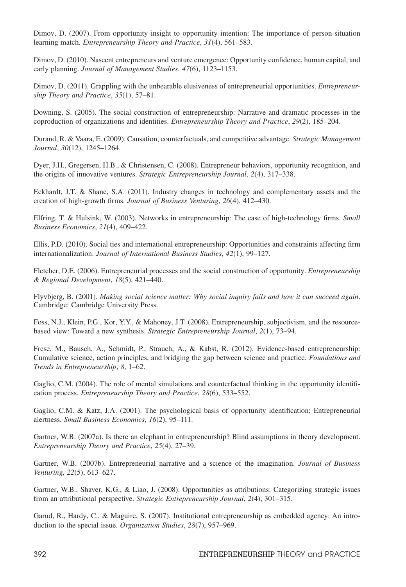Dimov, D. (2007). From opportunity insight to opportunity intention: The importance of person-situation learning match. *Entrepreneurship Theory and Practice*, *31*(4), 561–583.

Dimov, D. (2010). Nascent entrepreneurs and venture emergence: Opportunity confidence, human capital, and early planning. *Journal of Management Studies*, *47*(6), 1123–1153.

Dimov, D. (2011). Grappling with the unbearable elusiveness of entrepreneurial opportunities. *Entrepreneurship Theory and Practice*, *35*(1), 57–81.

Downing, S. (2005). The social construction of entrepreneurship: Narrative and dramatic processes in the coproduction of organizations and identities. *Entrepreneurship Theory and Practice*, *29*(2), 185–204.

Durand, R. & Vaara, E. (2009). Causation, counterfactuals, and competitive advantage. *Strategic Management Journal*, *30*(12), 1245–1264.

Dyer, J.H., Gregersen, H.B., & Christensen, C. (2008). Entrepreneur behaviors, opportunity recognition, and the origins of innovative ventures. *Strategic Entrepreneurship Journal*, *2*(4), 317–338.

Eckhardt, J.T. & Shane, S.A. (2011). Industry changes in technology and complementary assets and the creation of high-growth firms. *Journal of Business Venturing*, *26*(4), 412–430.

Elfring, T. & Hulsink, W. (2003). Networks in entrepreneurship: The case of high-technology firms. *Small Business Economics*, *21*(4), 409–422.

Ellis, P.D. (2010). Social ties and international entrepreneurship: Opportunities and constraints affecting firm internationalization. *Journal of International Business Studies*, *42*(1), 99–127.

Fletcher, D.E. (2006). Entrepreneurial processes and the social construction of opportunity. *Entrepreneurship & Regional Development*, *18*(5), 421–440.

Flyvbjerg, B. (2001). *Making social science matter: Why social inquiry fails and how it can succeed again*. Cambridge: Cambridge University Press.

Foss, N.J., Klein, P.G., Kor, Y.Y., & Mahoney, J.T. (2008). Entrepreneurship, subjectivism, and the resourcebased view: Toward a new synthesis. *Strategic Entrepreneurship Journal*, *2*(1), 73–94.

Frese, M., Bausch, A., Schmidt, P., Strauch, A., & Kabst, R. (2012). Evidence-based entrepreneurship: Cumulative science, action principles, and bridging the gap between science and practice. *Foundations and Trends in Entrepreneurship*, *8*, 1–62.

Gaglio, C.M. (2004). The role of mental simulations and counterfactual thinking in the opportunity identification process. *Entrepreneurship Theory and Practice*, *28*(6), 533–552.

Gaglio, C.M. & Katz, J.A. (2001). The psychological basis of opportunity identification: Entrepreneurial alertness. *Small Business Economics*, *16*(2), 95–111.

Gartner, W.B. (2007a). Is there an elephant in entrepreneurship? Blind assumptions in theory development. *Entrepreneurship Theory and Practice*, *25*(4), 27–39.

Gartner, W.B. (2007b). Entrepreneurial narrative and a science of the imagination. *Journal of Business Venturing*, *22*(5), 613–627.

Gartner, W.B., Shaver, K.G., & Liao, J. (2008). Opportunities as attributions: Categorizing strategic issues from an attributional perspective. *Strategic Entrepreneurship Journal*, *2*(4), 301–315.

Garud, R., Hardy, C., & Maguire, S. (2007). Institutional entrepreneurship as embedded agency: An introduction to the special issue. *Organization Studies*, *28*(7), 957–969.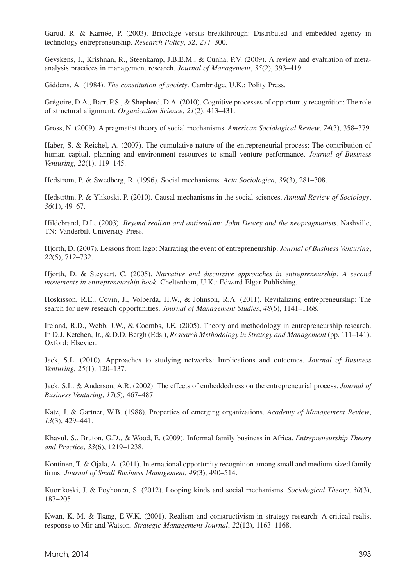Garud, R. & Karnøe, P. (2003). Bricolage versus breakthrough: Distributed and embedded agency in technology entrepreneurship. *Research Policy*, *32*, 277–300.

Geyskens, I., Krishnan, R., Steenkamp, J.B.E.M., & Cunha, P.V. (2009). A review and evaluation of metaanalysis practices in management research. *Journal of Management*, *35*(2), 393–419.

Giddens, A. (1984). *The constitution of society*. Cambridge, U.K.: Polity Press.

Grégoire, D.A., Barr, P.S., & Shepherd, D.A. (2010). Cognitive processes of opportunity recognition: The role of structural alignment. *Organization Science*, *21*(2), 413–431.

Gross, N. (2009). A pragmatist theory of social mechanisms. *American Sociological Review*, *74*(3), 358–379.

Haber, S. & Reichel, A. (2007). The cumulative nature of the entrepreneurial process: The contribution of human capital, planning and environment resources to small venture performance. *Journal of Business Venturing*, *22*(1), 119–145.

Hedström, P. & Swedberg, R. (1996). Social mechanisms. *Acta Sociologica*, *39*(3), 281–308.

Hedström, P. & Ylikoski, P. (2010). Causal mechanisms in the social sciences. *Annual Review of Sociology*, *36*(1), 49–67.

Hildebrand, D.L. (2003). *Beyond realism and antirealism: John Dewey and the neopragmatists*. Nashville, TN: Vanderbilt University Press.

Hjorth, D. (2007). Lessons from lago: Narrating the event of entrepreneurship. *Journal of Business Venturing*, *22*(5), 712–732.

Hjorth, D. & Steyaert, C. (2005). *Narrative and discursive approaches in entrepreneurship: A second movements in entrepreneurship book*. Cheltenham, U.K.: Edward Elgar Publishing.

Hoskisson, R.E., Covin, J., Volberda, H.W., & Johnson, R.A. (2011). Revitalizing entrepreneurship: The search for new research opportunities. *Journal of Management Studies*, *48*(6), 1141–1168.

Ireland, R.D., Webb, J.W., & Coombs, J.E. (2005). Theory and methodology in entrepreneurship research. In D.J. Ketchen, Jr., & D.D. Bergh (Eds.), *Research Methodology in Strategy and Management* (pp. 111–141). Oxford: Elsevier.

Jack, S.L. (2010). Approaches to studying networks: Implications and outcomes. *Journal of Business Venturing*, *25*(1), 120–137.

Jack, S.L. & Anderson, A.R. (2002). The effects of embeddedness on the entrepreneurial process. *Journal of Business Venturing*, *17*(5), 467–487.

Katz, J. & Gartner, W.B. (1988). Properties of emerging organizations. *Academy of Management Review*, *13*(3), 429–441.

Khavul, S., Bruton, G.D., & Wood, E. (2009). Informal family business in Africa. *Entrepreneurship Theory and Practice*, *33*(6), 1219–1238.

Kontinen, T. & Ojala, A. (2011). International opportunity recognition among small and medium-sized family firms. *Journal of Small Business Management*, *49*(3), 490–514.

Kuorikoski, J. & Pöyhönen, S. (2012). Looping kinds and social mechanisms. *Sociological Theory*, *30*(3), 187–205.

Kwan, K.-M. & Tsang, E.W.K. (2001). Realism and constructivism in strategy research: A critical realist response to Mir and Watson. *Strategic Management Journal*, *22*(12), 1163–1168.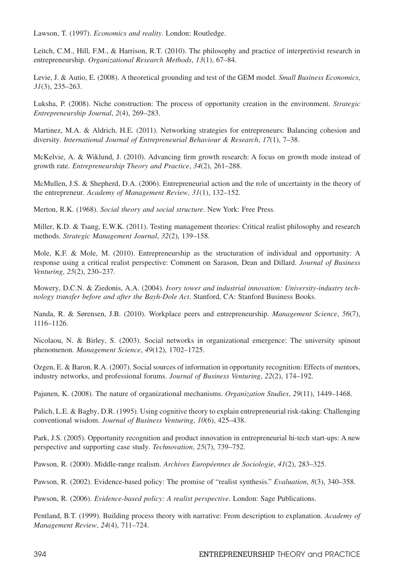Lawson, T. (1997). *Economics and reality*. London: Routledge.

Leitch, C.M., Hill, F.M., & Harrison, R.T. (2010). The philosophy and practice of interpretivist research in entrepreneurship. *Organizational Research Methods*, *13*(1), 67–84.

Levie, J. & Autio, E. (2008). A theoretical grounding and test of the GEM model. *Small Business Economics*, *31*(3), 235–263.

Luksha, P. (2008). Niche construction: The process of opportunity creation in the environment. *Strategic Entrepreneurship Journal*, *2*(4), 269–283.

Martinez, M.A. & Aldrich, H.E. (2011). Networking strategies for entrepreneurs: Balancing cohesion and diversity. *International Journal of Entrepreneurial Behaviour & Research*, *17*(1), 7–38.

McKelvie, A. & Wiklund, J. (2010). Advancing firm growth research: A focus on growth mode instead of growth rate. *Entrepreneurship Theory and Practice*, *34*(2), 261–288.

McMullen, J.S. & Shepherd, D.A. (2006). Entrepreneurial action and the role of uncertainty in the theory of the entrepreneur. *Academy of Management Review*, *31*(1), 132–152.

Merton, R.K. (1968). *Social theory and social structure*. New York: Free Press.

Miller, K.D. & Tsang, E.W.K. (2011). Testing management theories: Critical realist philosophy and research methods. *Strategic Management Journal*, *32*(2), 139–158.

Mole, K.F. & Mole, M. (2010). Entrepreneurship as the structuration of individual and opportunity: A response using a critical realist perspective: Comment on Sarason, Dean and Dillard. *Journal of Business Venturing*, *25*(2), 230–237.

Mowery, D.C.N. & Ziedonis, A.A. (2004). *Ivory tower and industrial innovation: University-industry technology transfer before and after the Bayh-Dole Act*. Stanford, CA: Stanford Business Books.

Nanda, R. & Sørensen, J.B. (2010). Workplace peers and entrepreneurship. *Management Science*, *56*(7), 1116–1126.

Nicolaou, N. & Birley, S. (2003). Social networks in organizational emergence: The university spinout phenomenon. *Management Science*, *49*(12), 1702–1725.

Ozgen, E. & Baron, R.A. (2007). Social sources of information in opportunity recognition: Effects of mentors, industry networks, and professional forums. *Journal of Business Venturing*, *22*(2), 174–192.

Pajunen, K. (2008). The nature of organizational mechanisms. *Organization Studies*, *29*(11), 1449–1468.

Palich, L.E. & Bagby, D.R. (1995). Using cognitive theory to explain entrepreneurial risk-taking: Challenging conventional wisdom. *Journal of Business Venturing*, *10*(6), 425–438.

Park, J.S. (2005). Opportunity recognition and product innovation in entrepreneurial hi-tech start-ups: A new perspective and supporting case study. *Technovation*, *25*(7), 739–752.

Pawson, R. (2000). Middle-range realism. *Archives Européennes de Sociologie*, *41*(2), 283–325.

Pawson, R. (2002). Evidence-based policy: The promise of "realist synthesis." *Evaluation*, *8*(3), 340–358.

Pawson, R. (2006). *Evidence-based policy: A realist perspective*. London: Sage Publications.

Pentland, B.T. (1999). Building process theory with narrative: From description to explanation. *Academy of Management Review*, *24*(4), 711–724.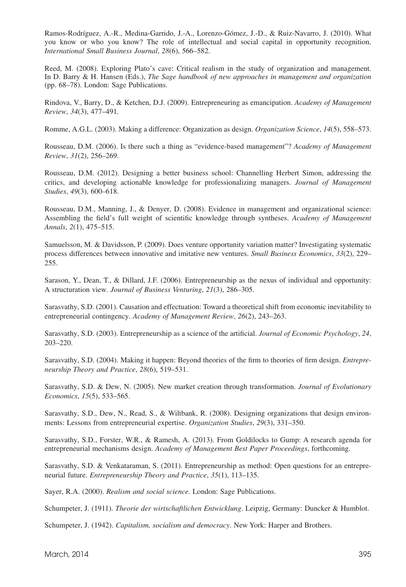Ramos-Rodríguez, A.-R., Medina-Garrido, J.-A., Lorenzo-Gómez, J.-D., & Ruiz-Navarro, J. (2010). What you know or who you know? The role of intellectual and social capital in opportunity recognition. *International Small Business Journal*, *28*(6), 566–582.

Reed, M. (2008). Exploring Plato's cave: Critical realism in the study of organization and management. In D. Barry & H. Hansen (Eds.), *The Sage handbook of new approaches in management and organization* (pp. 68–78). London: Sage Publications.

Rindova, V., Barry, D., & Ketchen, D.J. (2009). Entrepreneuring as emancipation. *Academy of Management Review*, *34*(3), 477–491.

Romme, A.G.L. (2003). Making a difference: Organization as design. *Organization Science*, *14*(5), 558–573.

Rousseau, D.M. (2006). Is there such a thing as "evidence-based management"? *Academy of Management Review*, *31*(2), 256–269.

Rousseau, D.M. (2012). Designing a better business school: Channelling Herbert Simon, addressing the critics, and developing actionable knowledge for professionalizing managers. *Journal of Management Studies*, *49*(3), 600–618.

Rousseau, D.M., Manning, J., & Denyer, D. (2008). Evidence in management and organizational science: Assembling the field's full weight of scientific knowledge through syntheses. *Academy of Management Annals*, *2*(1), 475–515.

Samuelsson, M. & Davidsson, P. (2009). Does venture opportunity variation matter? Investigating systematic process differences between innovative and imitative new ventures. *Small Business Economics*, *33*(2), 229– 255.

Sarason, Y., Dean, T., & Dillard, J.F. (2006). Entrepreneurship as the nexus of individual and opportunity: A structuration view. *Journal of Business Venturing*, *21*(3), 286–305.

Sarasvathy, S.D. (2001). Causation and effectuation: Toward a theoretical shift from economic inevitability to entrepreneurial contingency. *Academy of Management Review*, *26*(2), 243–263.

Sarasvathy, S.D. (2003). Entrepreneurship as a science of the artificial. *Journal of Economic Psychology*, *24*, 203–220.

Sarasvathy, S.D. (2004). Making it happen: Beyond theories of the firm to theories of firm design. *Entrepreneurship Theory and Practice*, *28*(6), 519–531.

Sarasvathy, S.D. & Dew, N. (2005). New market creation through transformation. *Journal of Evolutionary Economics*, *15*(5), 533–565.

Sarasvathy, S.D., Dew, N., Read, S., & Wiltbank, R. (2008). Designing organizations that design environments: Lessons from entrepreneurial expertise. *Organization Studies*, *29*(3), 331–350.

Sarasvathy, S.D., Forster, W.R., & Ramesh, A. (2013). From Goldilocks to Gump: A research agenda for entrepreneurial mechanisms design. *Academy of Management Best Paper Proceedings*, forthcoming.

Sarasvathy, S.D. & Venkataraman, S. (2011). Entrepreneurship as method: Open questions for an entrepreneurial future. *Entrepreneurship Theory and Practice*, *35*(1), 113–135.

Sayer, R.A. (2000). *Realism and social science*. London: Sage Publications.

Schumpeter, J. (1911). *Theorie der wirtschaftlichen Entwicklung*. Leipzig, Germany: Duncker & Humblot.

Schumpeter, J. (1942). *Capitalism, socialism and democracy*. New York: Harper and Brothers.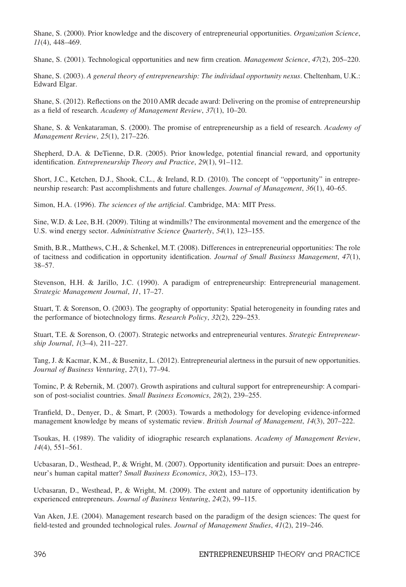Shane, S. (2000). Prior knowledge and the discovery of entrepreneurial opportunities. *Organization Science*, *11*(4), 448–469.

Shane, S. (2001). Technological opportunities and new firm creation. *Management Science*, *47*(2), 205–220.

Shane, S. (2003). *A general theory of entrepreneurship: The individual opportunity nexus*. Cheltenham, U.K.: Edward Elgar.

Shane, S. (2012). Reflections on the 2010 AMR decade award: Delivering on the promise of entrepreneurship as a field of research. *Academy of Management Review*, *37*(1), 10–20.

Shane, S. & Venkataraman, S. (2000). The promise of entrepreneurship as a field of research. *Academy of Management Review*, *25*(1), 217–226.

Shepherd, D.A. & DeTienne, D.R. (2005). Prior knowledge, potential financial reward, and opportunity identification. *Entrepreneurship Theory and Practice*, *29*(1), 91–112.

Short, J.C., Ketchen, D.J., Shook, C.L., & Ireland, R.D. (2010). The concept of "opportunity" in entrepreneurship research: Past accomplishments and future challenges. *Journal of Management*, *36*(1), 40–65.

Simon, H.A. (1996). *The sciences of the artificial*. Cambridge, MA: MIT Press.

Sine, W.D. & Lee, B.H. (2009). Tilting at windmills? The environmental movement and the emergence of the U.S. wind energy sector. *Administrative Science Quarterly*, *54*(1), 123–155.

Smith, B.R., Matthews, C.H., & Schenkel, M.T. (2008). Differences in entrepreneurial opportunities: The role of tacitness and codification in opportunity identification. *Journal of Small Business Management*, *47*(1), 38–57.

Stevenson, H.H. & Jarillo, J.C. (1990). A paradigm of entrepreneurship: Entrepreneurial management. *Strategic Management Journal*, *11*, 17–27.

Stuart, T. & Sorenson, O. (2003). The geography of opportunity: Spatial heterogeneity in founding rates and the performance of biotechnology firms. *Research Policy*, *32*(2), 229–253.

Stuart, T.E. & Sorenson, O. (2007). Strategic networks and entrepreneurial ventures. *Strategic Entrepreneurship Journal*, *1*(3–4), 211–227.

Tang, J. & Kacmar, K.M., & Busenitz, L. (2012). Entrepreneurial alertness in the pursuit of new opportunities. *Journal of Business Venturing*, *27*(1), 77–94.

Tominc, P. & Rebernik, M. (2007). Growth aspirations and cultural support for entrepreneurship: A comparison of post-socialist countries. *Small Business Economics*, *28*(2), 239–255.

Tranfield, D., Denyer, D., & Smart, P. (2003). Towards a methodology for developing evidence-informed management knowledge by means of systematic review. *British Journal of Management*, *14*(3), 207–222.

Tsoukas, H. (1989). The validity of idiographic research explanations. *Academy of Management Review*, *14*(4), 551–561.

Ucbasaran, D., Westhead, P., & Wright, M. (2007). Opportunity identification and pursuit: Does an entrepreneur's human capital matter? *Small Business Economics*, *30*(2), 153–173.

Ucbasaran, D., Westhead, P., & Wright, M. (2009). The extent and nature of opportunity identification by experienced entrepreneurs. *Journal of Business Venturing*, *24*(2), 99–115.

Van Aken, J.E. (2004). Management research based on the paradigm of the design sciences: The quest for field-tested and grounded technological rules. *Journal of Management Studies*, *41*(2), 219–246.